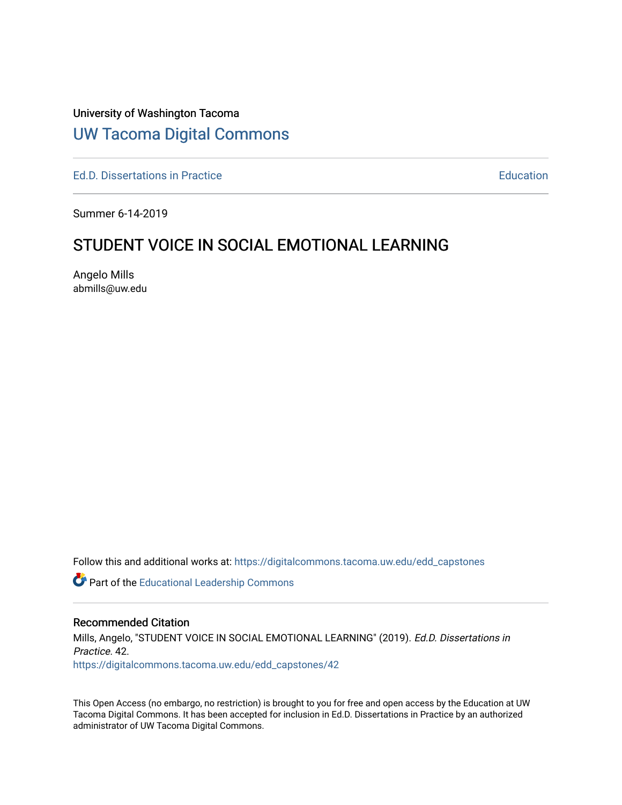## University of Washington Tacoma

# [UW Tacoma Digital Commons](https://digitalcommons.tacoma.uw.edu/)

[Ed.D. Dissertations in Practice](https://digitalcommons.tacoma.uw.edu/edd_capstones) [Education](https://digitalcommons.tacoma.uw.edu/education) Control of the Education Education Education

Summer 6-14-2019

# STUDENT VOICE IN SOCIAL EMOTIONAL LEARNING

Angelo Mills abmills@uw.edu

Follow this and additional works at: [https://digitalcommons.tacoma.uw.edu/edd\\_capstones](https://digitalcommons.tacoma.uw.edu/edd_capstones?utm_source=digitalcommons.tacoma.uw.edu%2Fedd_capstones%2F42&utm_medium=PDF&utm_campaign=PDFCoverPages)

Part of the [Educational Leadership Commons](http://network.bepress.com/hgg/discipline/1230?utm_source=digitalcommons.tacoma.uw.edu%2Fedd_capstones%2F42&utm_medium=PDF&utm_campaign=PDFCoverPages) 

#### Recommended Citation

Mills, Angelo, "STUDENT VOICE IN SOCIAL EMOTIONAL LEARNING" (2019). Ed.D. Dissertations in Practice. 42.

[https://digitalcommons.tacoma.uw.edu/edd\\_capstones/42](https://digitalcommons.tacoma.uw.edu/edd_capstones/42?utm_source=digitalcommons.tacoma.uw.edu%2Fedd_capstones%2F42&utm_medium=PDF&utm_campaign=PDFCoverPages) 

This Open Access (no embargo, no restriction) is brought to you for free and open access by the Education at UW Tacoma Digital Commons. It has been accepted for inclusion in Ed.D. Dissertations in Practice by an authorized administrator of UW Tacoma Digital Commons.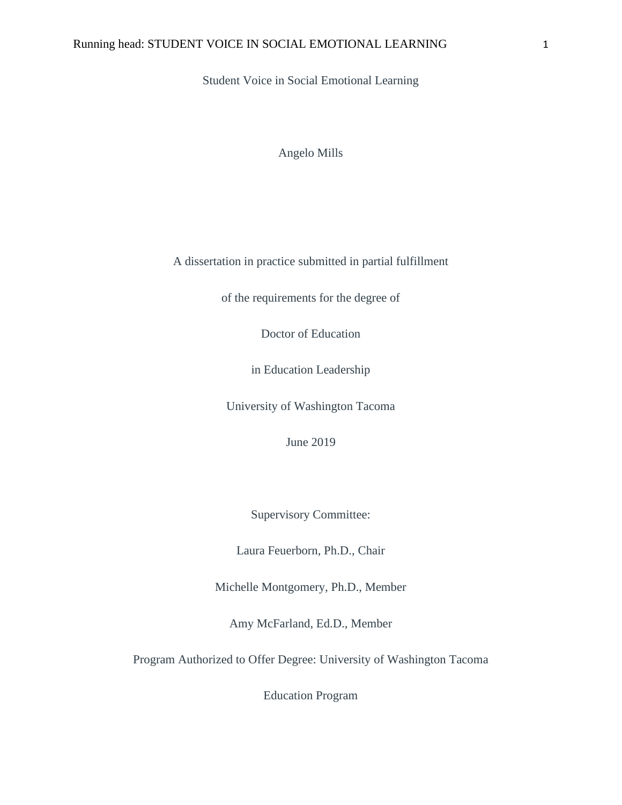Student Voice in Social Emotional Learning

Angelo Mills

A dissertation in practice submitted in partial fulfillment

of the requirements for the degree of

Doctor of Education

in Education Leadership

University of Washington Tacoma

June 2019

Supervisory Committee:

Laura Feuerborn, Ph.D., Chair

Michelle Montgomery, Ph.D., Member

Amy McFarland, Ed.D., Member

Program Authorized to Offer Degree: University of Washington Tacoma

Education Program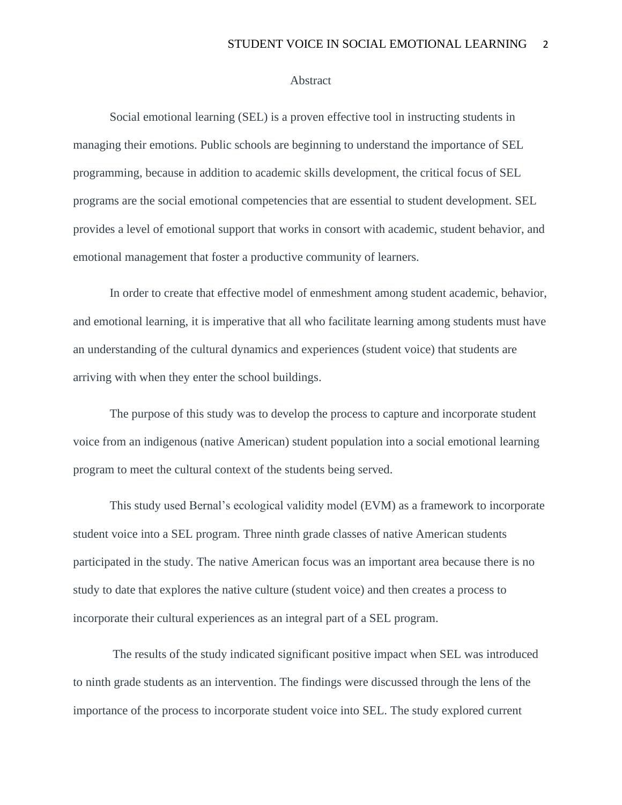#### **Abstract**

Social emotional learning (SEL) is a proven effective tool in instructing students in managing their emotions. Public schools are beginning to understand the importance of SEL programming, because in addition to academic skills development, the critical focus of SEL programs are the social emotional competencies that are essential to student development. SEL provides a level of emotional support that works in consort with academic, student behavior, and emotional management that foster a productive community of learners.

In order to create that effective model of enmeshment among student academic, behavior, and emotional learning, it is imperative that all who facilitate learning among students must have an understanding of the cultural dynamics and experiences (student voice) that students are arriving with when they enter the school buildings.

The purpose of this study was to develop the process to capture and incorporate student voice from an indigenous (native American) student population into a social emotional learning program to meet the cultural context of the students being served.

This study used Bernal's ecological validity model (EVM) as a framework to incorporate student voice into a SEL program. Three ninth grade classes of native American students participated in the study. The native American focus was an important area because there is no study to date that explores the native culture (student voice) and then creates a process to incorporate their cultural experiences as an integral part of a SEL program.

The results of the study indicated significant positive impact when SEL was introduced to ninth grade students as an intervention. The findings were discussed through the lens of the importance of the process to incorporate student voice into SEL. The study explored current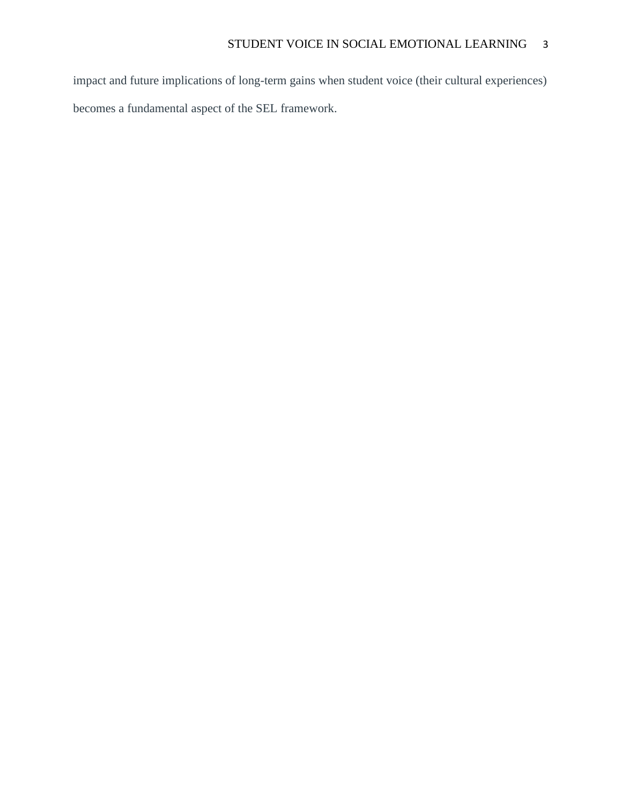impact and future implications of long-term gains when student voice (their cultural experiences) becomes a fundamental aspect of the SEL framework.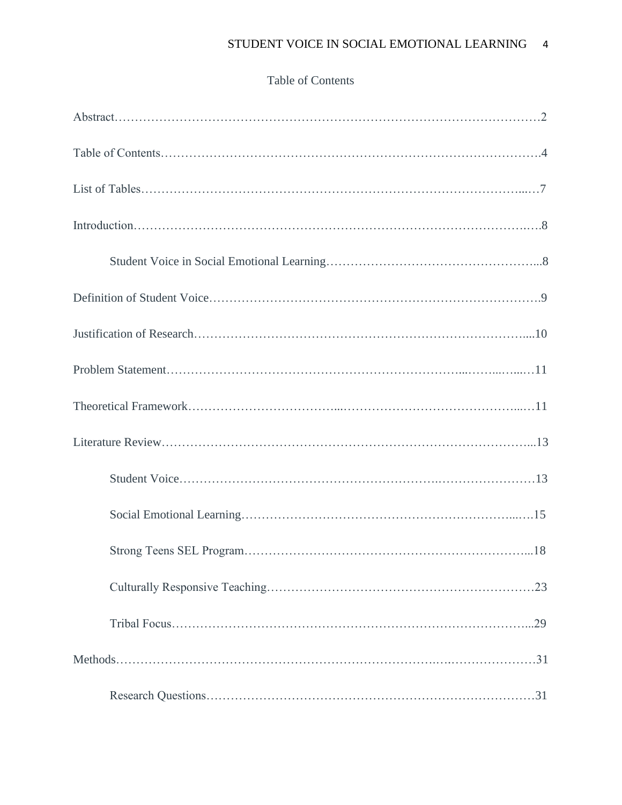## Table of Contents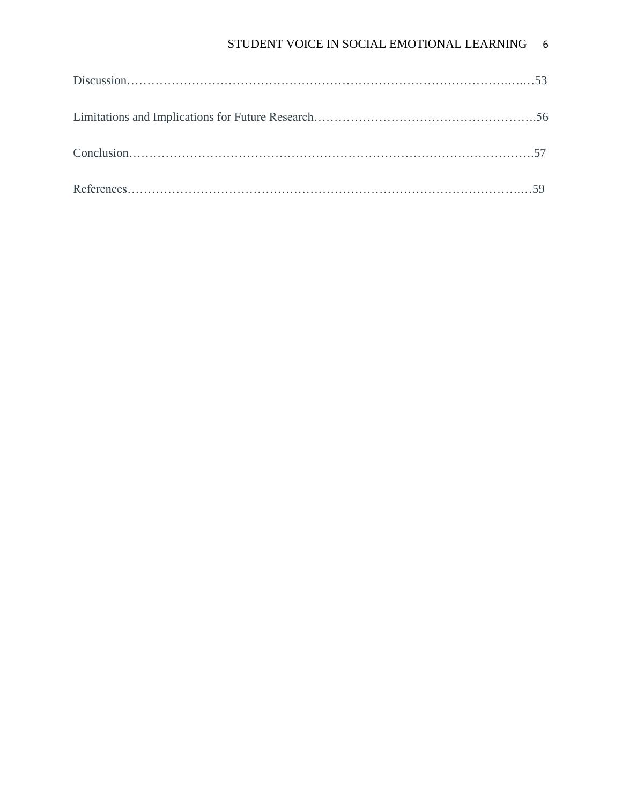## STUDENT VOICE IN SOCIAL EMOTIONAL LEARNING 6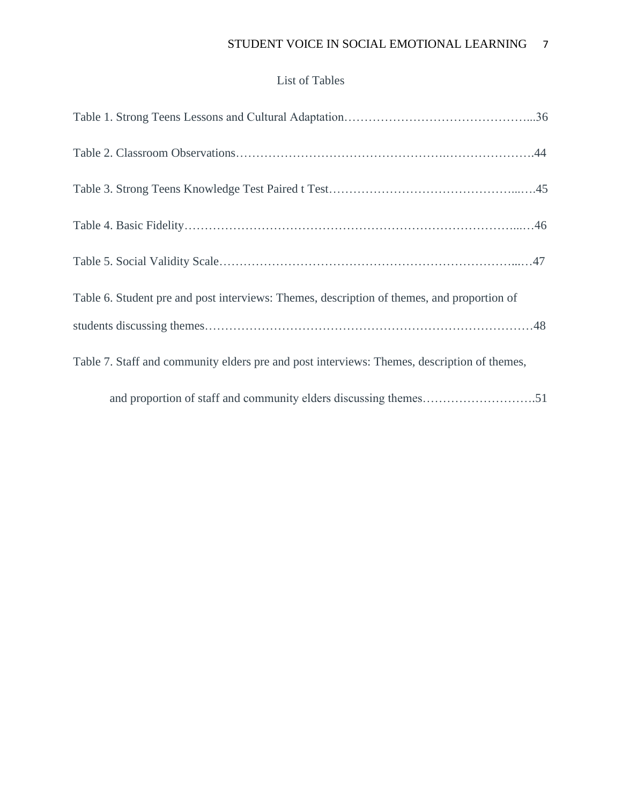## STUDENT VOICE IN SOCIAL EMOTIONAL LEARNING 7

## List of Tables

| Table 6. Student pre and post interviews: Themes, description of themes, and proportion of  |
|---------------------------------------------------------------------------------------------|
|                                                                                             |
| Table 7. Staff and community elders pre and post interviews: Themes, description of themes, |
| and proportion of staff and community elders discussing themes51                            |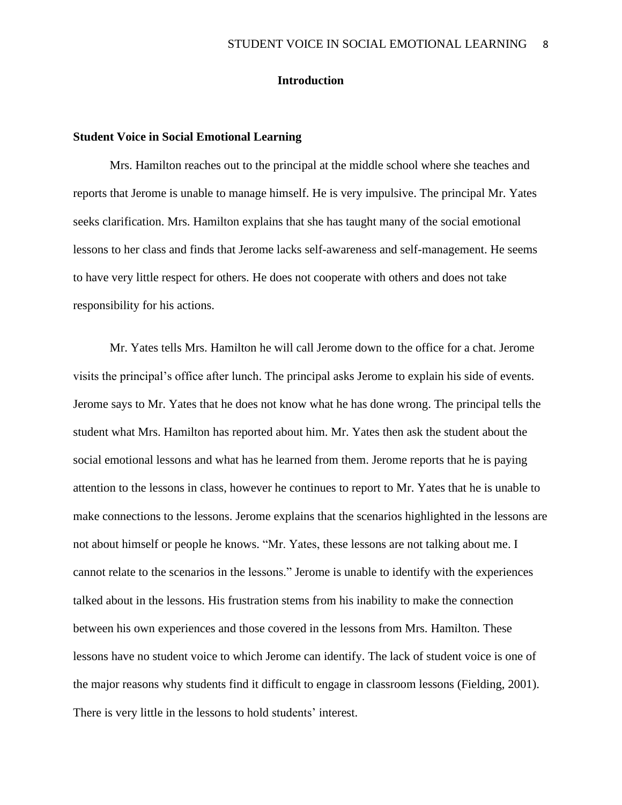## **Introduction**

#### **Student Voice in Social Emotional Learning**

Mrs. Hamilton reaches out to the principal at the middle school where she teaches and reports that Jerome is unable to manage himself. He is very impulsive. The principal Mr. Yates seeks clarification. Mrs. Hamilton explains that she has taught many of the social emotional lessons to her class and finds that Jerome lacks self-awareness and self-management. He seems to have very little respect for others. He does not cooperate with others and does not take responsibility for his actions.

Mr. Yates tells Mrs. Hamilton he will call Jerome down to the office for a chat. Jerome visits the principal's office after lunch. The principal asks Jerome to explain his side of events. Jerome says to Mr. Yates that he does not know what he has done wrong. The principal tells the student what Mrs. Hamilton has reported about him. Mr. Yates then ask the student about the social emotional lessons and what has he learned from them. Jerome reports that he is paying attention to the lessons in class, however he continues to report to Mr. Yates that he is unable to make connections to the lessons. Jerome explains that the scenarios highlighted in the lessons are not about himself or people he knows. "Mr. Yates, these lessons are not talking about me. I cannot relate to the scenarios in the lessons." Jerome is unable to identify with the experiences talked about in the lessons. His frustration stems from his inability to make the connection between his own experiences and those covered in the lessons from Mrs. Hamilton. These lessons have no student voice to which Jerome can identify. The lack of student voice is one of the major reasons why students find it difficult to engage in classroom lessons (Fielding, 2001). There is very little in the lessons to hold students' interest.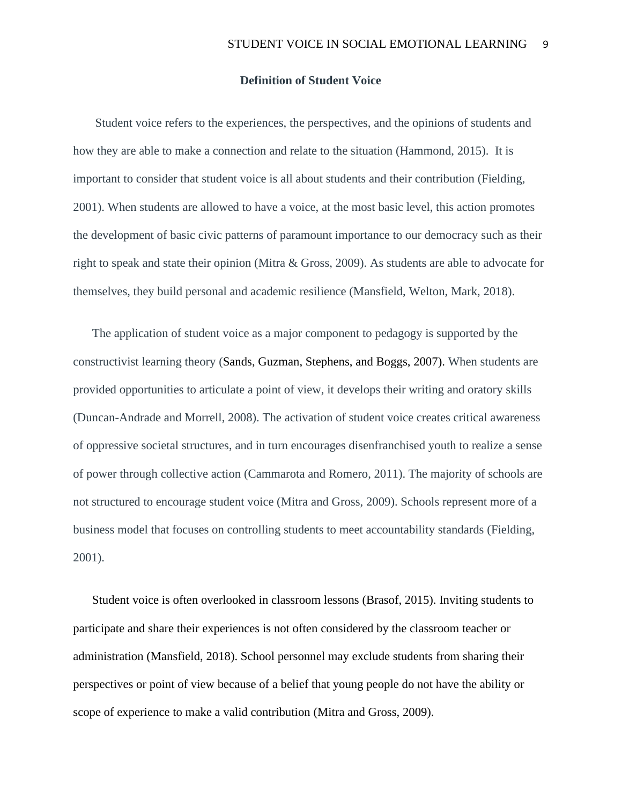## **Definition of Student Voice**

Student voice refers to the experiences, the perspectives, and the opinions of students and how they are able to make a connection and relate to the situation (Hammond, 2015). It is important to consider that student voice is all about students and their contribution (Fielding, 2001). When students are allowed to have a voice, at the most basic level, this action promotes the development of basic civic patterns of paramount importance to our democracy such as their right to speak and state their opinion (Mitra & Gross, 2009). As students are able to advocate for themselves, they build personal and academic resilience (Mansfield, Welton, Mark, 2018).

The application of student voice as a major component to pedagogy is supported by the constructivist learning theory (Sands, Guzman, Stephens, and Boggs, 2007). When students are provided opportunities to articulate a point of view, it develops their writing and oratory skills (Duncan-Andrade and Morrell, 2008). The activation of student voice creates critical awareness of oppressive societal structures, and in turn encourages disenfranchised youth to realize a sense of power through collective action (Cammarota and Romero, 2011). The majority of schools are not structured to encourage student voice (Mitra and Gross, 2009). Schools represent more of a business model that focuses on controlling students to meet accountability standards (Fielding, 2001).

Student voice is often overlooked in classroom lessons (Brasof, 2015). Inviting students to participate and share their experiences is not often considered by the classroom teacher or administration (Mansfield, 2018). School personnel may exclude students from sharing their perspectives or point of view because of a belief that young people do not have the ability or scope of experience to make a valid contribution (Mitra and Gross, 2009).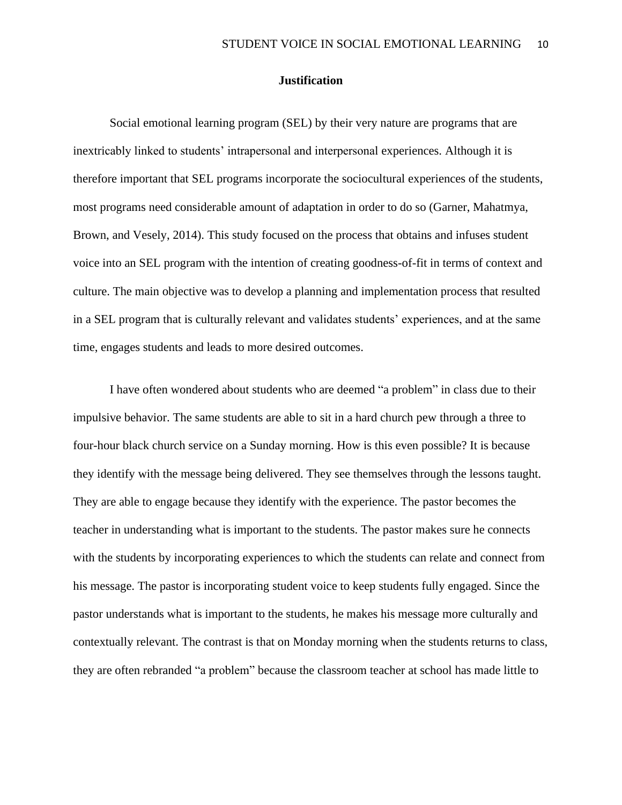## **Justification**

Social emotional learning program (SEL) by their very nature are programs that are inextricably linked to students' intrapersonal and interpersonal experiences. Although it is therefore important that SEL programs incorporate the sociocultural experiences of the students, most programs need considerable amount of adaptation in order to do so (Garner, Mahatmya, Brown, and Vesely, 2014). This study focused on the process that obtains and infuses student voice into an SEL program with the intention of creating goodness-of-fit in terms of context and culture. The main objective was to develop a planning and implementation process that resulted in a SEL program that is culturally relevant and validates students' experiences, and at the same time, engages students and leads to more desired outcomes.

I have often wondered about students who are deemed "a problem" in class due to their impulsive behavior. The same students are able to sit in a hard church pew through a three to four-hour black church service on a Sunday morning. How is this even possible? It is because they identify with the message being delivered. They see themselves through the lessons taught. They are able to engage because they identify with the experience. The pastor becomes the teacher in understanding what is important to the students. The pastor makes sure he connects with the students by incorporating experiences to which the students can relate and connect from his message. The pastor is incorporating student voice to keep students fully engaged. Since the pastor understands what is important to the students, he makes his message more culturally and contextually relevant. The contrast is that on Monday morning when the students returns to class, they are often rebranded "a problem" because the classroom teacher at school has made little to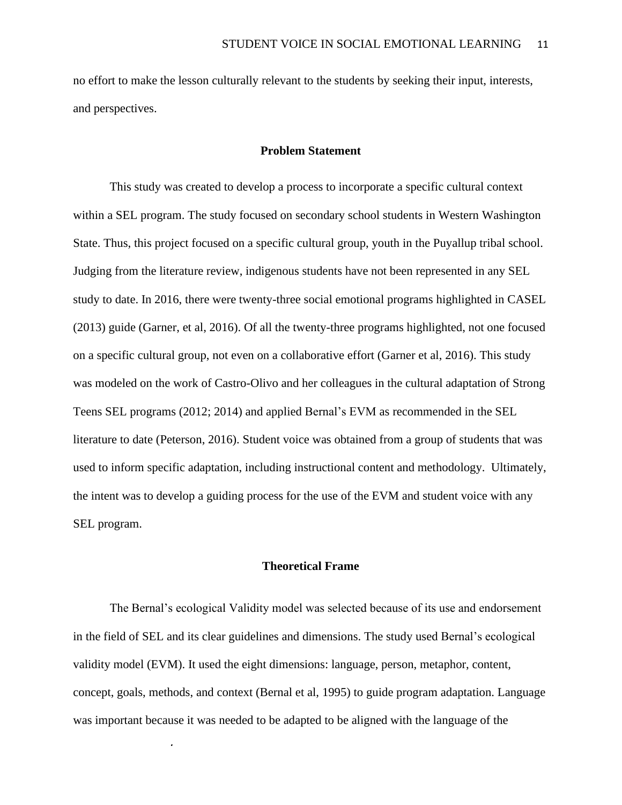no effort to make the lesson culturally relevant to the students by seeking their input, interests, and perspectives.

### **Problem Statement**

This study was created to develop a process to incorporate a specific cultural context within a SEL program. The study focused on secondary school students in Western Washington State. Thus, this project focused on a specific cultural group, youth in the Puyallup tribal school. Judging from the literature review, indigenous students have not been represented in any SEL study to date. In 2016, there were twenty-three social emotional programs highlighted in CASEL (2013) guide (Garner, et al, 2016). Of all the twenty-three programs highlighted, not one focused on a specific cultural group, not even on a collaborative effort (Garner et al, 2016). This study was modeled on the work of Castro-Olivo and her colleagues in the cultural adaptation of Strong Teens SEL programs (2012; 2014) and applied Bernal's EVM as recommended in the SEL literature to date (Peterson, 2016). Student voice was obtained from a group of students that was used to inform specific adaptation, including instructional content and methodology. Ultimately, the intent was to develop a guiding process for the use of the EVM and student voice with any SEL program.

## **Theoretical Frame**

The Bernal's ecological Validity model was selected because of its use and endorsement in the field of SEL and its clear guidelines and dimensions. The study used Bernal's ecological validity model (EVM). It used the eight dimensions: language, person, metaphor, content, concept, goals, methods, and context (Bernal et al, 1995) to guide program adaptation. Language was important because it was needed to be adapted to be aligned with the language of the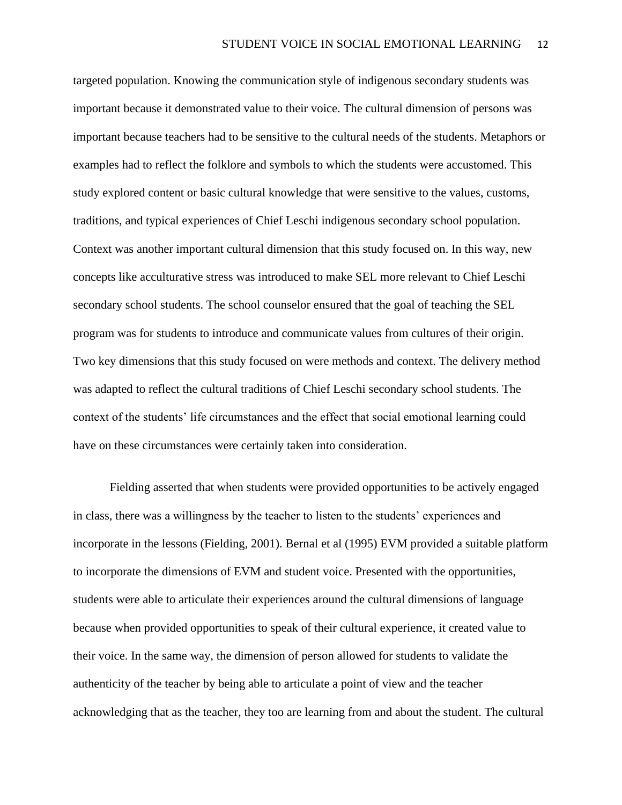targeted population. Knowing the communication style of indigenous secondary students was important because it demonstrated value to their voice. The cultural dimension of persons was important because teachers had to be sensitive to the cultural needs of the students. Metaphors or examples had to reflect the folklore and symbols to which the students were accustomed. This study explored content or basic cultural knowledge that were sensitive to the values, customs, traditions, and typical experiences of Chief Leschi indigenous secondary school population. Context was another important cultural dimension that this study focused on. In this way, new concepts like acculturative stress was introduced to make SEL more relevant to Chief Leschi secondary school students. The school counselor ensured that the goal of teaching the SEL program was for students to introduce and communicate values from cultures of their origin. Two key dimensions that this study focused on were methods and context. The delivery method was adapted to reflect the cultural traditions of Chief Leschi secondary school students. The context of the students' life circumstances and the effect that social emotional learning could have on these circumstances were certainly taken into consideration.

Fielding asserted that when students were provided opportunities to be actively engaged in class, there was a willingness by the teacher to listen to the students' experiences and incorporate in the lessons (Fielding, 2001). Bernal et al (1995) EVM provided a suitable platform to incorporate the dimensions of EVM and student voice. Presented with the opportunities, students were able to articulate their experiences around the cultural dimensions of language because when provided opportunities to speak of their cultural experience, it created value to their voice. In the same way, the dimension of person allowed for students to validate the authenticity of the teacher by being able to articulate a point of view and the teacher acknowledging that as the teacher, they too are learning from and about the student. The cultural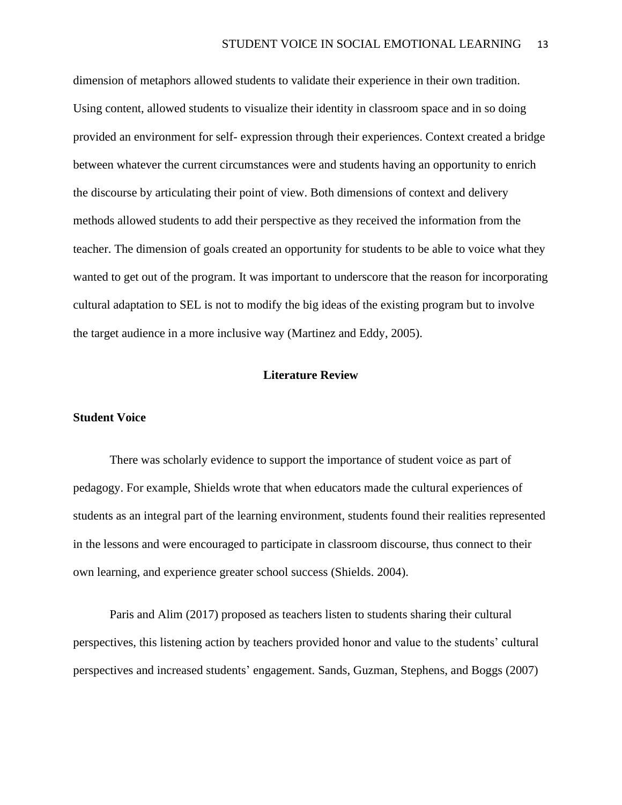dimension of metaphors allowed students to validate their experience in their own tradition. Using content, allowed students to visualize their identity in classroom space and in so doing provided an environment for self- expression through their experiences. Context created a bridge between whatever the current circumstances were and students having an opportunity to enrich the discourse by articulating their point of view. Both dimensions of context and delivery methods allowed students to add their perspective as they received the information from the teacher. The dimension of goals created an opportunity for students to be able to voice what they wanted to get out of the program. It was important to underscore that the reason for incorporating cultural adaptation to SEL is not to modify the big ideas of the existing program but to involve the target audience in a more inclusive way (Martinez and Eddy, 2005).

## **Literature Review**

#### **Student Voice**

There was scholarly evidence to support the importance of student voice as part of pedagogy. For example, Shields wrote that when educators made the cultural experiences of students as an integral part of the learning environment, students found their realities represented in the lessons and were encouraged to participate in classroom discourse, thus connect to their own learning, and experience greater school success (Shields. 2004).

Paris and Alim (2017) proposed as teachers listen to students sharing their cultural perspectives, this listening action by teachers provided honor and value to the students' cultural perspectives and increased students' engagement. Sands, Guzman, Stephens, and Boggs (2007)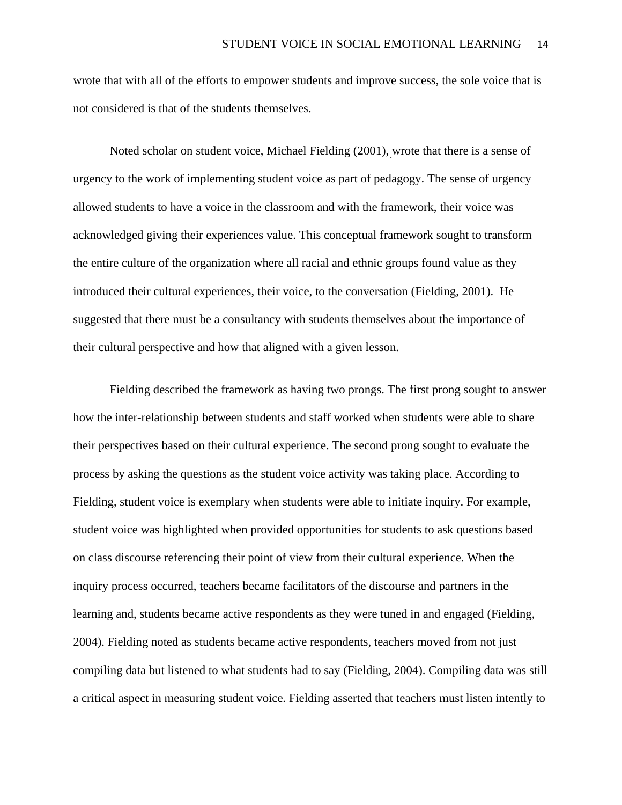wrote that with all of the efforts to empower students and improve success, the sole voice that is not considered is that of the students themselves.

Noted scholar on student voice, Michael Fielding (2001), wrote that there is a sense of urgency to the work of implementing student voice as part of pedagogy. The sense of urgency allowed students to have a voice in the classroom and with the framework, their voice was acknowledged giving their experiences value. This conceptual framework sought to transform the entire culture of the organization where all racial and ethnic groups found value as they introduced their cultural experiences, their voice, to the conversation (Fielding, 2001). He suggested that there must be a consultancy with students themselves about the importance of their cultural perspective and how that aligned with a given lesson.

Fielding described the framework as having two prongs. The first prong sought to answer how the inter-relationship between students and staff worked when students were able to share their perspectives based on their cultural experience. The second prong sought to evaluate the process by asking the questions as the student voice activity was taking place. According to Fielding, student voice is exemplary when students were able to initiate inquiry. For example, student voice was highlighted when provided opportunities for students to ask questions based on class discourse referencing their point of view from their cultural experience. When the inquiry process occurred, teachers became facilitators of the discourse and partners in the learning and, students became active respondents as they were tuned in and engaged (Fielding, 2004). Fielding noted as students became active respondents, teachers moved from not just compiling data but listened to what students had to say (Fielding, 2004). Compiling data was still a critical aspect in measuring student voice. Fielding asserted that teachers must listen intently to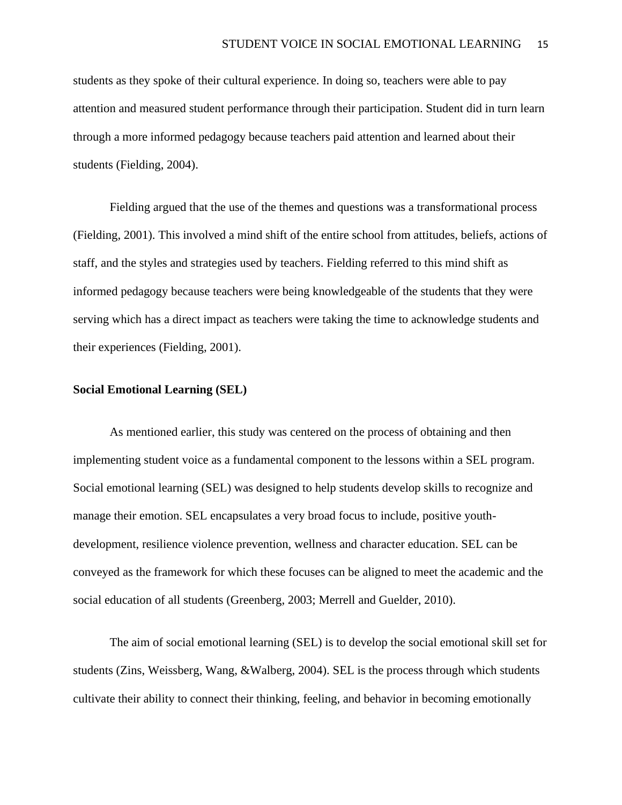students as they spoke of their cultural experience. In doing so, teachers were able to pay attention and measured student performance through their participation. Student did in turn learn through a more informed pedagogy because teachers paid attention and learned about their students (Fielding, 2004).

Fielding argued that the use of the themes and questions was a transformational process (Fielding, 2001). This involved a mind shift of the entire school from attitudes, beliefs, actions of staff, and the styles and strategies used by teachers. Fielding referred to this mind shift as informed pedagogy because teachers were being knowledgeable of the students that they were serving which has a direct impact as teachers were taking the time to acknowledge students and their experiences (Fielding, 2001).

### **Social Emotional Learning (SEL)**

As mentioned earlier, this study was centered on the process of obtaining and then implementing student voice as a fundamental component to the lessons within a SEL program. Social emotional learning (SEL) was designed to help students develop skills to recognize and manage their emotion. SEL encapsulates a very broad focus to include, positive youthdevelopment, resilience violence prevention, wellness and character education. SEL can be conveyed as the framework for which these focuses can be aligned to meet the academic and the social education of all students (Greenberg, 2003; Merrell and Guelder, 2010).

The aim of social emotional learning (SEL) is to develop the social emotional skill set for students (Zins, Weissberg, Wang, &Walberg, 2004). SEL is the process through which students cultivate their ability to connect their thinking, feeling, and behavior in becoming emotionally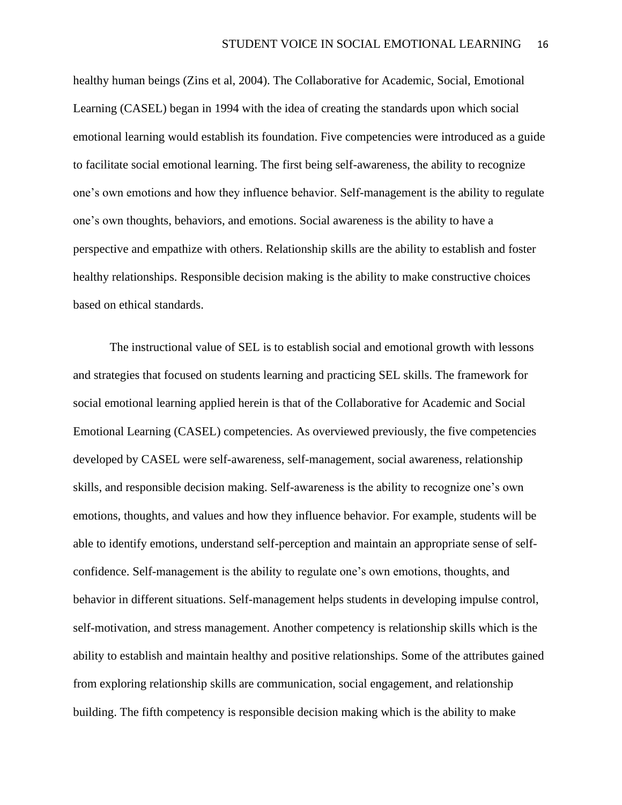healthy human beings (Zins et al, 2004). The Collaborative for Academic, Social, Emotional Learning (CASEL) began in 1994 with the idea of creating the standards upon which social emotional learning would establish its foundation. Five competencies were introduced as a guide to facilitate social emotional learning. The first being self-awareness, the ability to recognize one's own emotions and how they influence behavior. Self-management is the ability to regulate one's own thoughts, behaviors, and emotions. Social awareness is the ability to have a perspective and empathize with others. Relationship skills are the ability to establish and foster healthy relationships. Responsible decision making is the ability to make constructive choices based on ethical standards.

The instructional value of SEL is to establish social and emotional growth with lessons and strategies that focused on students learning and practicing SEL skills. The framework for social emotional learning applied herein is that of the Collaborative for Academic and Social Emotional Learning (CASEL) competencies. As overviewed previously, the five competencies developed by CASEL were self-awareness, self-management, social awareness, relationship skills, and responsible decision making. Self-awareness is the ability to recognize one's own emotions, thoughts, and values and how they influence behavior. For example, students will be able to identify emotions, understand self-perception and maintain an appropriate sense of selfconfidence. Self-management is the ability to regulate one's own emotions, thoughts, and behavior in different situations. Self-management helps students in developing impulse control, self-motivation, and stress management. Another competency is relationship skills which is the ability to establish and maintain healthy and positive relationships. Some of the attributes gained from exploring relationship skills are communication, social engagement, and relationship building. The fifth competency is responsible decision making which is the ability to make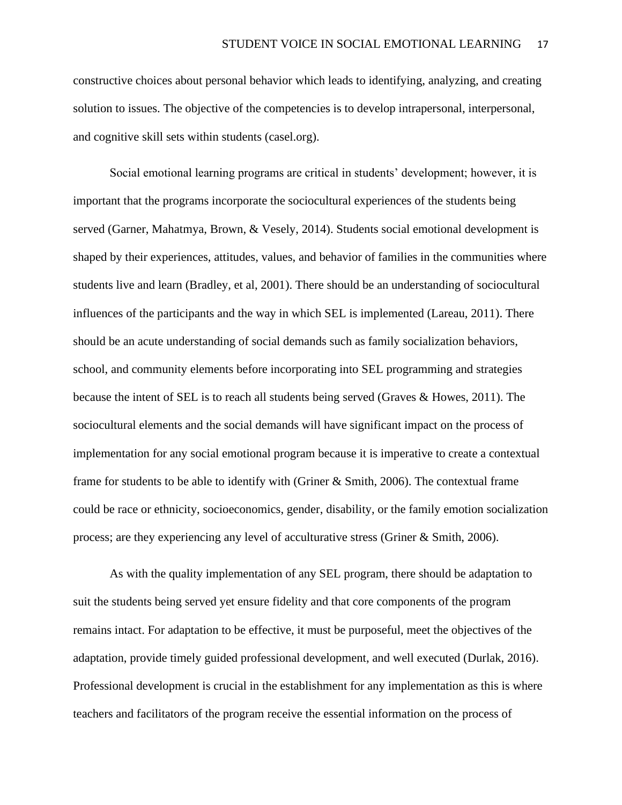constructive choices about personal behavior which leads to identifying, analyzing, and creating solution to issues. The objective of the competencies is to develop intrapersonal, interpersonal, and cognitive skill sets within students (casel.org).

Social emotional learning programs are critical in students' development; however, it is important that the programs incorporate the sociocultural experiences of the students being served (Garner, Mahatmya, Brown, & Vesely, 2014). Students social emotional development is shaped by their experiences, attitudes, values, and behavior of families in the communities where students live and learn (Bradley, et al, 2001). There should be an understanding of sociocultural influences of the participants and the way in which SEL is implemented (Lareau, 2011). There should be an acute understanding of social demands such as family socialization behaviors, school, and community elements before incorporating into SEL programming and strategies because the intent of SEL is to reach all students being served (Graves & Howes, 2011). The sociocultural elements and the social demands will have significant impact on the process of implementation for any social emotional program because it is imperative to create a contextual frame for students to be able to identify with (Griner & Smith, 2006). The contextual frame could be race or ethnicity, socioeconomics, gender, disability, or the family emotion socialization process; are they experiencing any level of acculturative stress (Griner & Smith, 2006).

As with the quality implementation of any SEL program, there should be adaptation to suit the students being served yet ensure fidelity and that core components of the program remains intact. For adaptation to be effective, it must be purposeful, meet the objectives of the adaptation, provide timely guided professional development, and well executed (Durlak, 2016). Professional development is crucial in the establishment for any implementation as this is where teachers and facilitators of the program receive the essential information on the process of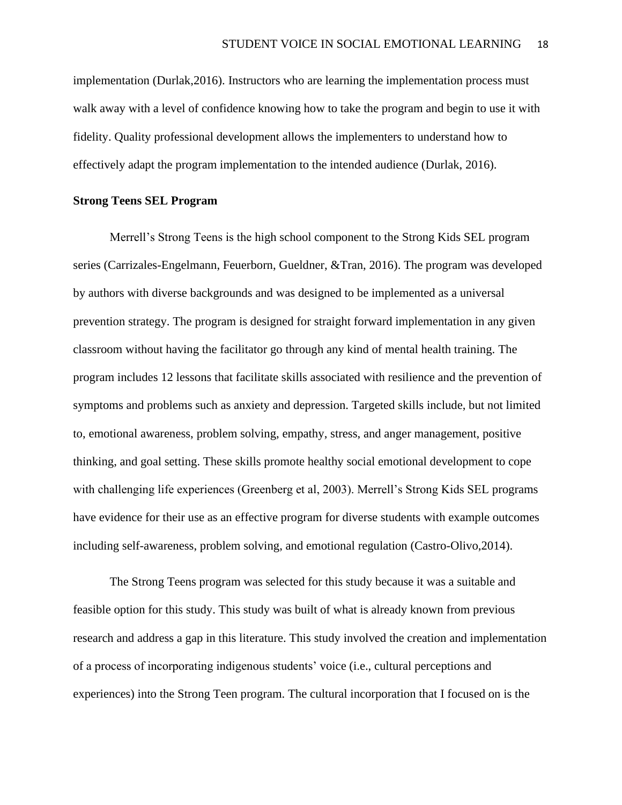implementation (Durlak,2016). Instructors who are learning the implementation process must walk away with a level of confidence knowing how to take the program and begin to use it with fidelity. Quality professional development allows the implementers to understand how to effectively adapt the program implementation to the intended audience (Durlak, 2016).

### **Strong Teens SEL Program**

Merrell's Strong Teens is the high school component to the Strong Kids SEL program series (Carrizales-Engelmann, Feuerborn, Gueldner, &Tran, 2016). The program was developed by authors with diverse backgrounds and was designed to be implemented as a universal prevention strategy. The program is designed for straight forward implementation in any given classroom without having the facilitator go through any kind of mental health training. The program includes 12 lessons that facilitate skills associated with resilience and the prevention of symptoms and problems such as anxiety and depression. Targeted skills include, but not limited to, emotional awareness, problem solving, empathy, stress, and anger management, positive thinking, and goal setting. These skills promote healthy social emotional development to cope with challenging life experiences (Greenberg et al, 2003). Merrell's Strong Kids SEL programs have evidence for their use as an effective program for diverse students with example outcomes including self-awareness, problem solving, and emotional regulation (Castro-Olivo,2014).

The Strong Teens program was selected for this study because it was a suitable and feasible option for this study. This study was built of what is already known from previous research and address a gap in this literature. This study involved the creation and implementation of a process of incorporating indigenous students' voice (i.e., cultural perceptions and experiences) into the Strong Teen program. The cultural incorporation that I focused on is the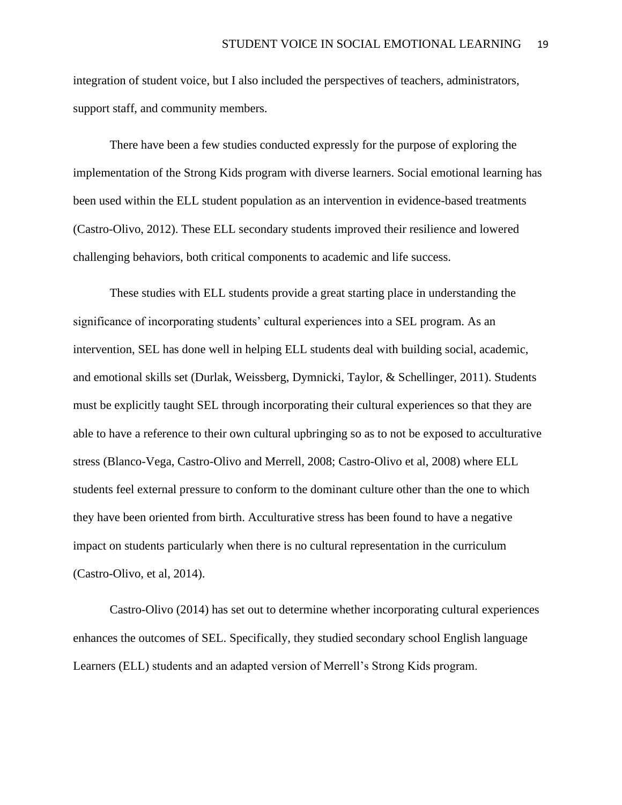integration of student voice, but I also included the perspectives of teachers, administrators, support staff, and community members.

There have been a few studies conducted expressly for the purpose of exploring the implementation of the Strong Kids program with diverse learners. Social emotional learning has been used within the ELL student population as an intervention in evidence-based treatments (Castro-Olivo, 2012). These ELL secondary students improved their resilience and lowered challenging behaviors, both critical components to academic and life success.

These studies with ELL students provide a great starting place in understanding the significance of incorporating students' cultural experiences into a SEL program. As an intervention, SEL has done well in helping ELL students deal with building social, academic, and emotional skills set (Durlak, Weissberg, Dymnicki, Taylor, & Schellinger, 2011). Students must be explicitly taught SEL through incorporating their cultural experiences so that they are able to have a reference to their own cultural upbringing so as to not be exposed to acculturative stress (Blanco-Vega, Castro-Olivo and Merrell, 2008; Castro-Olivo et al, 2008) where ELL students feel external pressure to conform to the dominant culture other than the one to which they have been oriented from birth. Acculturative stress has been found to have a negative impact on students particularly when there is no cultural representation in the curriculum (Castro-Olivo, et al, 2014).

Castro-Olivo (2014) has set out to determine whether incorporating cultural experiences enhances the outcomes of SEL. Specifically, they studied secondary school English language Learners (ELL) students and an adapted version of Merrell's Strong Kids program.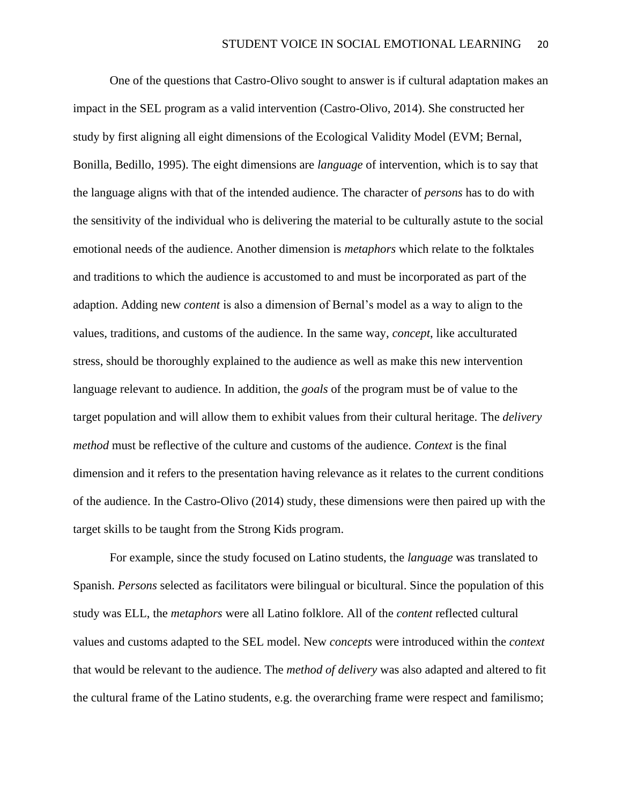One of the questions that Castro-Olivo sought to answer is if cultural adaptation makes an impact in the SEL program as a valid intervention (Castro-Olivo, 2014). She constructed her study by first aligning all eight dimensions of the Ecological Validity Model (EVM; Bernal, Bonilla, Bedillo, 1995). The eight dimensions are *language* of intervention, which is to say that the language aligns with that of the intended audience. The character of *persons* has to do with the sensitivity of the individual who is delivering the material to be culturally astute to the social emotional needs of the audience. Another dimension is *metaphors* which relate to the folktales and traditions to which the audience is accustomed to and must be incorporated as part of the adaption. Adding new *content* is also a dimension of Bernal's model as a way to align to the values, traditions, and customs of the audience. In the same way, *concept*, like acculturated stress, should be thoroughly explained to the audience as well as make this new intervention language relevant to audience. In addition, the *goals* of the program must be of value to the target population and will allow them to exhibit values from their cultural heritage. The *delivery method* must be reflective of the culture and customs of the audience. *Context* is the final dimension and it refers to the presentation having relevance as it relates to the current conditions of the audience. In the Castro-Olivo (2014) study, these dimensions were then paired up with the target skills to be taught from the Strong Kids program.

For example, since the study focused on Latino students, the *language* was translated to Spanish. *Persons* selected as facilitators were bilingual or bicultural. Since the population of this study was ELL, the *metaphors* were all Latino folklore. All of the *content* reflected cultural values and customs adapted to the SEL model. New *concepts* were introduced within the *context* that would be relevant to the audience. The *method of delivery* was also adapted and altered to fit the cultural frame of the Latino students, e.g. the overarching frame were respect and familismo;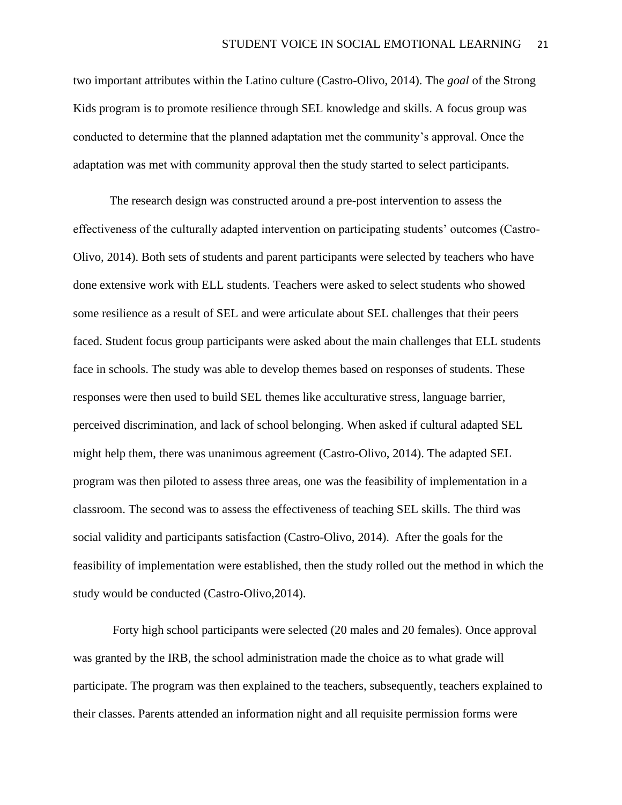two important attributes within the Latino culture (Castro-Olivo, 2014). The *goal* of the Strong Kids program is to promote resilience through SEL knowledge and skills. A focus group was conducted to determine that the planned adaptation met the community's approval. Once the adaptation was met with community approval then the study started to select participants.

The research design was constructed around a pre-post intervention to assess the effectiveness of the culturally adapted intervention on participating students' outcomes (Castro-Olivo, 2014). Both sets of students and parent participants were selected by teachers who have done extensive work with ELL students. Teachers were asked to select students who showed some resilience as a result of SEL and were articulate about SEL challenges that their peers faced. Student focus group participants were asked about the main challenges that ELL students face in schools. The study was able to develop themes based on responses of students. These responses were then used to build SEL themes like acculturative stress, language barrier, perceived discrimination, and lack of school belonging. When asked if cultural adapted SEL might help them, there was unanimous agreement (Castro-Olivo, 2014). The adapted SEL program was then piloted to assess three areas, one was the feasibility of implementation in a classroom. The second was to assess the effectiveness of teaching SEL skills. The third was social validity and participants satisfaction (Castro-Olivo, 2014). After the goals for the feasibility of implementation were established, then the study rolled out the method in which the study would be conducted (Castro-Olivo,2014).

Forty high school participants were selected (20 males and 20 females). Once approval was granted by the IRB, the school administration made the choice as to what grade will participate. The program was then explained to the teachers, subsequently, teachers explained to their classes. Parents attended an information night and all requisite permission forms were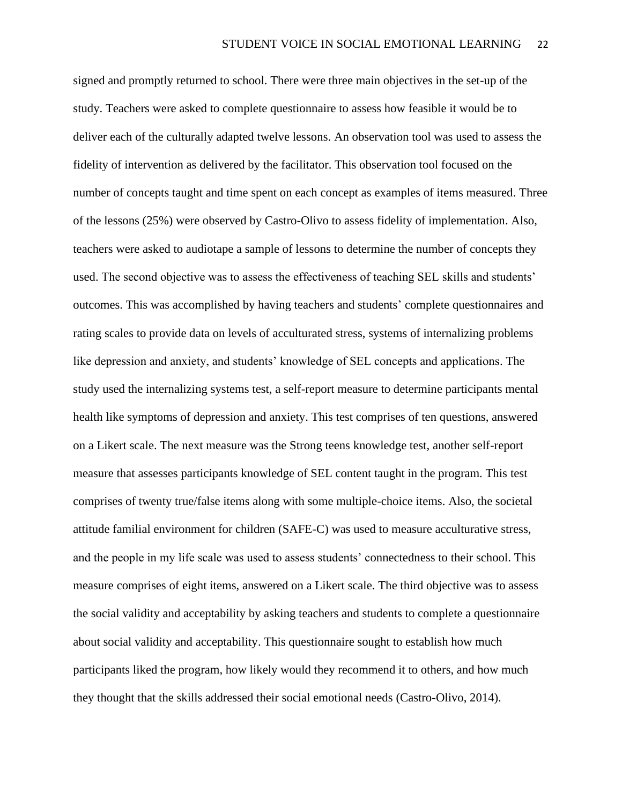signed and promptly returned to school. There were three main objectives in the set-up of the study. Teachers were asked to complete questionnaire to assess how feasible it would be to deliver each of the culturally adapted twelve lessons. An observation tool was used to assess the fidelity of intervention as delivered by the facilitator. This observation tool focused on the number of concepts taught and time spent on each concept as examples of items measured. Three of the lessons (25%) were observed by Castro-Olivo to assess fidelity of implementation. Also, teachers were asked to audiotape a sample of lessons to determine the number of concepts they used. The second objective was to assess the effectiveness of teaching SEL skills and students' outcomes. This was accomplished by having teachers and students' complete questionnaires and rating scales to provide data on levels of acculturated stress, systems of internalizing problems like depression and anxiety, and students' knowledge of SEL concepts and applications. The study used the internalizing systems test, a self-report measure to determine participants mental health like symptoms of depression and anxiety. This test comprises of ten questions, answered on a Likert scale. The next measure was the Strong teens knowledge test, another self-report measure that assesses participants knowledge of SEL content taught in the program. This test comprises of twenty true/false items along with some multiple-choice items. Also, the societal attitude familial environment for children (SAFE-C) was used to measure acculturative stress, and the people in my life scale was used to assess students' connectedness to their school. This measure comprises of eight items, answered on a Likert scale. The third objective was to assess the social validity and acceptability by asking teachers and students to complete a questionnaire about social validity and acceptability. This questionnaire sought to establish how much participants liked the program, how likely would they recommend it to others, and how much they thought that the skills addressed their social emotional needs (Castro-Olivo, 2014).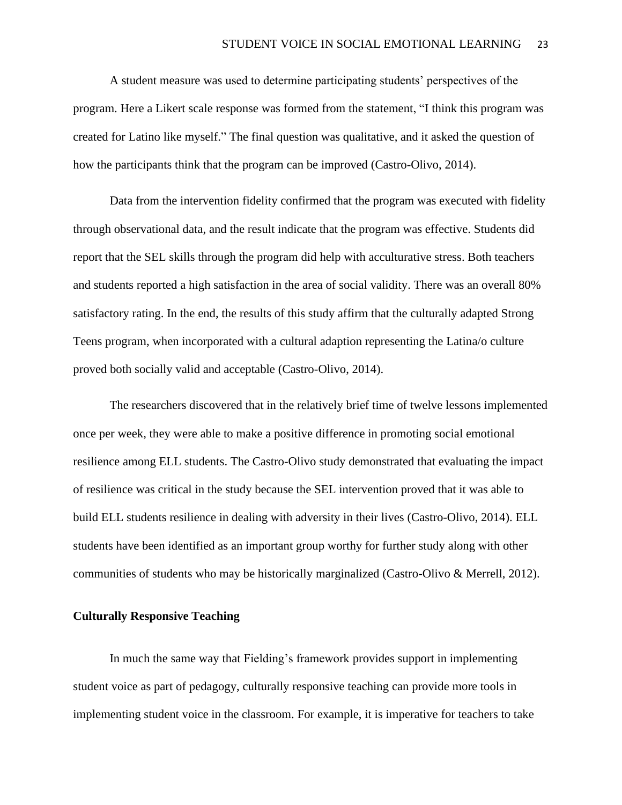A student measure was used to determine participating students' perspectives of the program. Here a Likert scale response was formed from the statement, "I think this program was created for Latino like myself." The final question was qualitative, and it asked the question of how the participants think that the program can be improved (Castro-Olivo, 2014).

Data from the intervention fidelity confirmed that the program was executed with fidelity through observational data, and the result indicate that the program was effective. Students did report that the SEL skills through the program did help with acculturative stress. Both teachers and students reported a high satisfaction in the area of social validity. There was an overall 80% satisfactory rating. In the end, the results of this study affirm that the culturally adapted Strong Teens program, when incorporated with a cultural adaption representing the Latina/o culture proved both socially valid and acceptable (Castro-Olivo, 2014).

The researchers discovered that in the relatively brief time of twelve lessons implemented once per week, they were able to make a positive difference in promoting social emotional resilience among ELL students. The Castro-Olivo study demonstrated that evaluating the impact of resilience was critical in the study because the SEL intervention proved that it was able to build ELL students resilience in dealing with adversity in their lives (Castro-Olivo, 2014). ELL students have been identified as an important group worthy for further study along with other communities of students who may be historically marginalized (Castro-Olivo & Merrell, 2012).

## **Culturally Responsive Teaching**

In much the same way that Fielding's framework provides support in implementing student voice as part of pedagogy, culturally responsive teaching can provide more tools in implementing student voice in the classroom. For example, it is imperative for teachers to take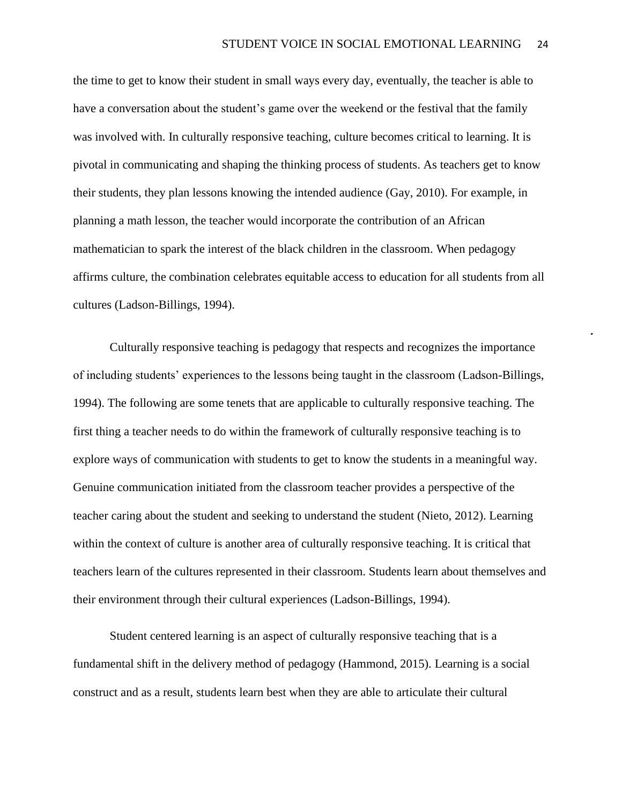the time to get to know their student in small ways every day, eventually, the teacher is able to have a conversation about the student's game over the weekend or the festival that the family was involved with. In culturally responsive teaching, culture becomes critical to learning. It is pivotal in communicating and shaping the thinking process of students. As teachers get to know their students, they plan lessons knowing the intended audience (Gay, 2010). For example, in planning a math lesson, the teacher would incorporate the contribution of an African mathematician to spark the interest of the black children in the classroom. When pedagogy affirms culture, the combination celebrates equitable access to education for all students from all cultures (Ladson-Billings, 1994).

Culturally responsive teaching is pedagogy that respects and recognizes the importance of including students' experiences to the lessons being taught in the classroom (Ladson-Billings, 1994). The following are some tenets that are applicable to culturally responsive teaching. The first thing a teacher needs to do within the framework of culturally responsive teaching is to explore ways of communication with students to get to know the students in a meaningful way. Genuine communication initiated from the classroom teacher provides a perspective of the teacher caring about the student and seeking to understand the student (Nieto, 2012). Learning within the context of culture is another area of culturally responsive teaching. It is critical that teachers learn of the cultures represented in their classroom. Students learn about themselves and their environment through their cultural experiences (Ladson-Billings, 1994).

Student centered learning is an aspect of culturally responsive teaching that is a fundamental shift in the delivery method of pedagogy (Hammond, 2015). Learning is a social construct and as a result, students learn best when they are able to articulate their cultural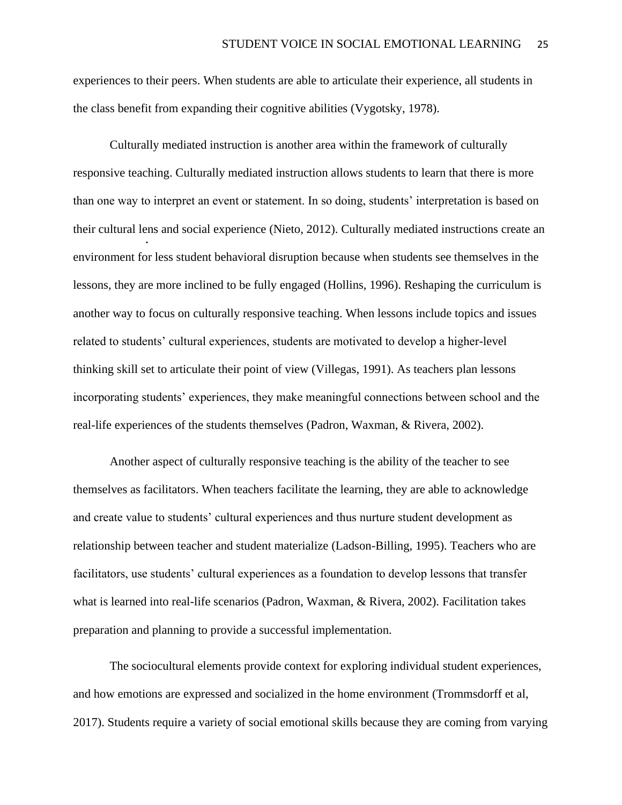experiences to their peers. When students are able to articulate their experience, all students in the class benefit from expanding their cognitive abilities (Vygotsky, 1978).

Culturally mediated instruction is another area within the framework of culturally responsive teaching. Culturally mediated instruction allows students to learn that there is more than one way to interpret an event or statement. In so doing, students' interpretation is based on their cultural lens and social experience (Nieto, 2012). Culturally mediated instructions create an environment for less student behavioral disruption because when students see themselves in the lessons, they are more inclined to be fully engaged (Hollins, 1996). Reshaping the curriculum is another way to focus on culturally responsive teaching. When lessons include topics and issues related to students' cultural experiences, students are motivated to develop a higher-level thinking skill set to articulate their point of view (Villegas, 1991). As teachers plan lessons incorporating students' experiences, they make meaningful connections between school and the real-life experiences of the students themselves (Padron, Waxman, & Rivera, 2002).

Another aspect of culturally responsive teaching is the ability of the teacher to see themselves as facilitators. When teachers facilitate the learning, they are able to acknowledge and create value to students' cultural experiences and thus nurture student development as relationship between teacher and student materialize (Ladson-Billing, 1995). Teachers who are facilitators, use students' cultural experiences as a foundation to develop lessons that transfer what is learned into real-life scenarios (Padron, Waxman, & Rivera, 2002). Facilitation takes preparation and planning to provide a successful implementation.

The sociocultural elements provide context for exploring individual student experiences, and how emotions are expressed and socialized in the home environment (Trommsdorff et al, 2017). Students require a variety of social emotional skills because they are coming from varying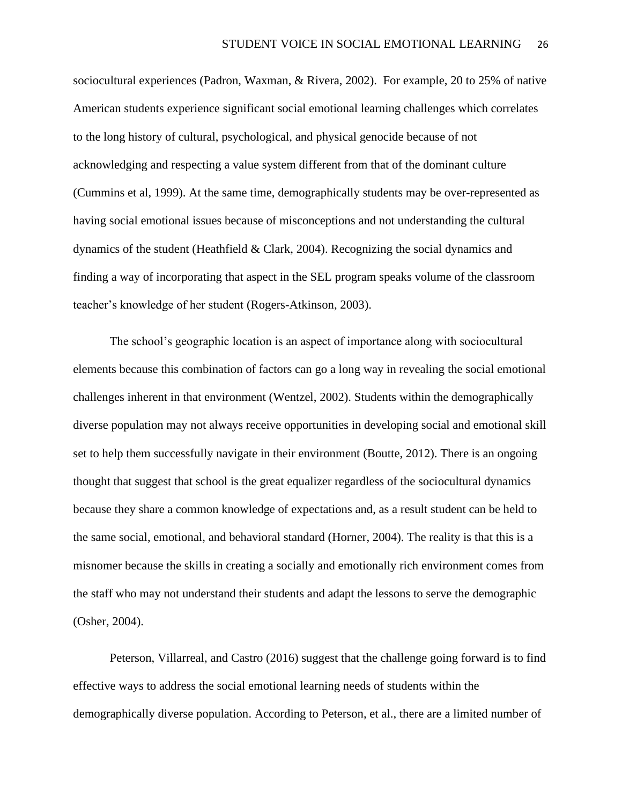sociocultural experiences (Padron, Waxman, & Rivera, 2002). For example, 20 to 25% of native American students experience significant social emotional learning challenges which correlates to the long history of cultural, psychological, and physical genocide because of not acknowledging and respecting a value system different from that of the dominant culture (Cummins et al, 1999). At the same time, demographically students may be over-represented as having social emotional issues because of misconceptions and not understanding the cultural dynamics of the student (Heathfield & Clark, 2004). Recognizing the social dynamics and finding a way of incorporating that aspect in the SEL program speaks volume of the classroom teacher's knowledge of her student (Rogers-Atkinson, 2003).

The school's geographic location is an aspect of importance along with sociocultural elements because this combination of factors can go a long way in revealing the social emotional challenges inherent in that environment (Wentzel, 2002). Students within the demographically diverse population may not always receive opportunities in developing social and emotional skill set to help them successfully navigate in their environment (Boutte, 2012). There is an ongoing thought that suggest that school is the great equalizer regardless of the sociocultural dynamics because they share a common knowledge of expectations and, as a result student can be held to the same social, emotional, and behavioral standard (Horner, 2004). The reality is that this is a misnomer because the skills in creating a socially and emotionally rich environment comes from the staff who may not understand their students and adapt the lessons to serve the demographic (Osher, 2004).

Peterson, Villarreal, and Castro (2016) suggest that the challenge going forward is to find effective ways to address the social emotional learning needs of students within the demographically diverse population. According to Peterson, et al., there are a limited number of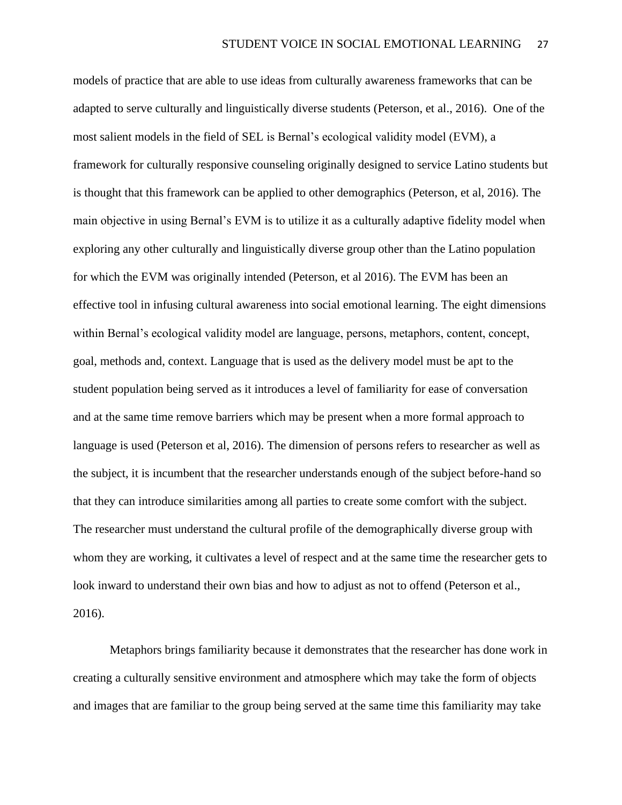models of practice that are able to use ideas from culturally awareness frameworks that can be adapted to serve culturally and linguistically diverse students (Peterson, et al., 2016). One of the most salient models in the field of SEL is Bernal's ecological validity model (EVM), a framework for culturally responsive counseling originally designed to service Latino students but is thought that this framework can be applied to other demographics (Peterson, et al, 2016). The main objective in using Bernal's EVM is to utilize it as a culturally adaptive fidelity model when exploring any other culturally and linguistically diverse group other than the Latino population for which the EVM was originally intended (Peterson, et al 2016). The EVM has been an effective tool in infusing cultural awareness into social emotional learning. The eight dimensions within Bernal's ecological validity model are language, persons, metaphors, content, concept, goal, methods and, context. Language that is used as the delivery model must be apt to the student population being served as it introduces a level of familiarity for ease of conversation and at the same time remove barriers which may be present when a more formal approach to language is used (Peterson et al, 2016). The dimension of persons refers to researcher as well as the subject, it is incumbent that the researcher understands enough of the subject before-hand so that they can introduce similarities among all parties to create some comfort with the subject. The researcher must understand the cultural profile of the demographically diverse group with whom they are working, it cultivates a level of respect and at the same time the researcher gets to look inward to understand their own bias and how to adjust as not to offend (Peterson et al., 2016).

Metaphors brings familiarity because it demonstrates that the researcher has done work in creating a culturally sensitive environment and atmosphere which may take the form of objects and images that are familiar to the group being served at the same time this familiarity may take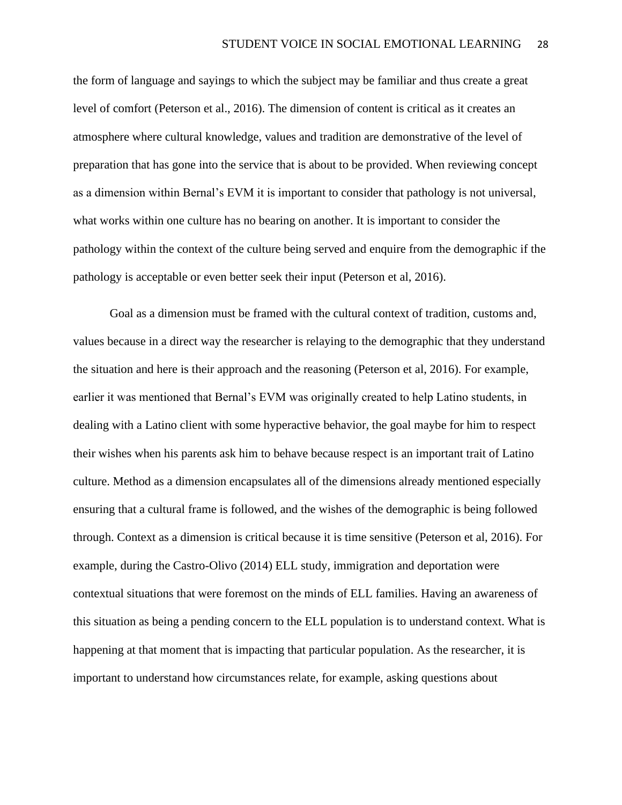the form of language and sayings to which the subject may be familiar and thus create a great level of comfort (Peterson et al., 2016). The dimension of content is critical as it creates an atmosphere where cultural knowledge, values and tradition are demonstrative of the level of preparation that has gone into the service that is about to be provided. When reviewing concept as a dimension within Bernal's EVM it is important to consider that pathology is not universal, what works within one culture has no bearing on another. It is important to consider the pathology within the context of the culture being served and enquire from the demographic if the pathology is acceptable or even better seek their input (Peterson et al, 2016).

Goal as a dimension must be framed with the cultural context of tradition, customs and, values because in a direct way the researcher is relaying to the demographic that they understand the situation and here is their approach and the reasoning (Peterson et al, 2016). For example, earlier it was mentioned that Bernal's EVM was originally created to help Latino students, in dealing with a Latino client with some hyperactive behavior, the goal maybe for him to respect their wishes when his parents ask him to behave because respect is an important trait of Latino culture. Method as a dimension encapsulates all of the dimensions already mentioned especially ensuring that a cultural frame is followed, and the wishes of the demographic is being followed through. Context as a dimension is critical because it is time sensitive (Peterson et al, 2016). For example, during the Castro-Olivo (2014) ELL study, immigration and deportation were contextual situations that were foremost on the minds of ELL families. Having an awareness of this situation as being a pending concern to the ELL population is to understand context. What is happening at that moment that is impacting that particular population. As the researcher, it is important to understand how circumstances relate, for example, asking questions about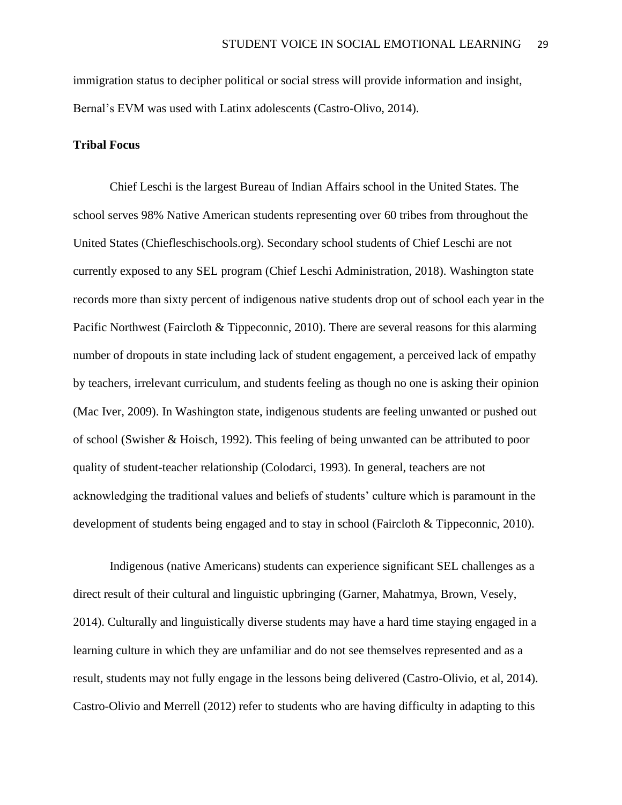immigration status to decipher political or social stress will provide information and insight, Bernal's EVM was used with Latinx adolescents (Castro-Olivo, 2014).

## **Tribal Focus**

Chief Leschi is the largest Bureau of Indian Affairs school in the United States. The school serves 98% Native American students representing over 60 tribes from throughout the United States (Chiefleschischools.org). Secondary school students of Chief Leschi are not currently exposed to any SEL program (Chief Leschi Administration, 2018). Washington state records more than sixty percent of indigenous native students drop out of school each year in the Pacific Northwest (Faircloth & Tippeconnic, 2010). There are several reasons for this alarming number of dropouts in state including lack of student engagement, a perceived lack of empathy by teachers, irrelevant curriculum, and students feeling as though no one is asking their opinion (Mac Iver, 2009). In Washington state, indigenous students are feeling unwanted or pushed out of school (Swisher & Hoisch, 1992). This feeling of being unwanted can be attributed to poor quality of student-teacher relationship (Colodarci, 1993). In general, teachers are not acknowledging the traditional values and beliefs of students' culture which is paramount in the development of students being engaged and to stay in school (Faircloth & Tippeconnic, 2010).

Indigenous (native Americans) students can experience significant SEL challenges as a direct result of their cultural and linguistic upbringing (Garner, Mahatmya, Brown, Vesely, 2014). Culturally and linguistically diverse students may have a hard time staying engaged in a learning culture in which they are unfamiliar and do not see themselves represented and as a result, students may not fully engage in the lessons being delivered (Castro-Olivio, et al, 2014). Castro-Olivio and Merrell (2012) refer to students who are having difficulty in adapting to this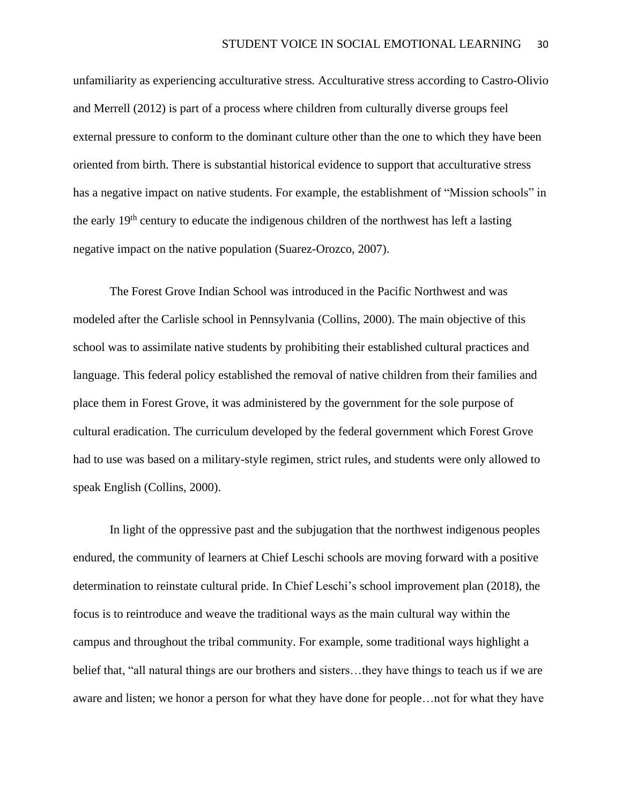unfamiliarity as experiencing acculturative stress. Acculturative stress according to Castro-Olivio and Merrell (2012) is part of a process where children from culturally diverse groups feel external pressure to conform to the dominant culture other than the one to which they have been oriented from birth. There is substantial historical evidence to support that acculturative stress has a negative impact on native students. For example, the establishment of "Mission schools" in the early 19<sup>th</sup> century to educate the indigenous children of the northwest has left a lasting negative impact on the native population (Suarez-Orozco, 2007).

The Forest Grove Indian School was introduced in the Pacific Northwest and was modeled after the Carlisle school in Pennsylvania (Collins, 2000). The main objective of this school was to assimilate native students by prohibiting their established cultural practices and language. This federal policy established the removal of native children from their families and place them in Forest Grove, it was administered by the government for the sole purpose of cultural eradication. The curriculum developed by the federal government which Forest Grove had to use was based on a military-style regimen, strict rules, and students were only allowed to speak English (Collins, 2000).

In light of the oppressive past and the subjugation that the northwest indigenous peoples endured, the community of learners at Chief Leschi schools are moving forward with a positive determination to reinstate cultural pride. In Chief Leschi's school improvement plan (2018), the focus is to reintroduce and weave the traditional ways as the main cultural way within the campus and throughout the tribal community. For example, some traditional ways highlight a belief that, "all natural things are our brothers and sisters…they have things to teach us if we are aware and listen; we honor a person for what they have done for people…not for what they have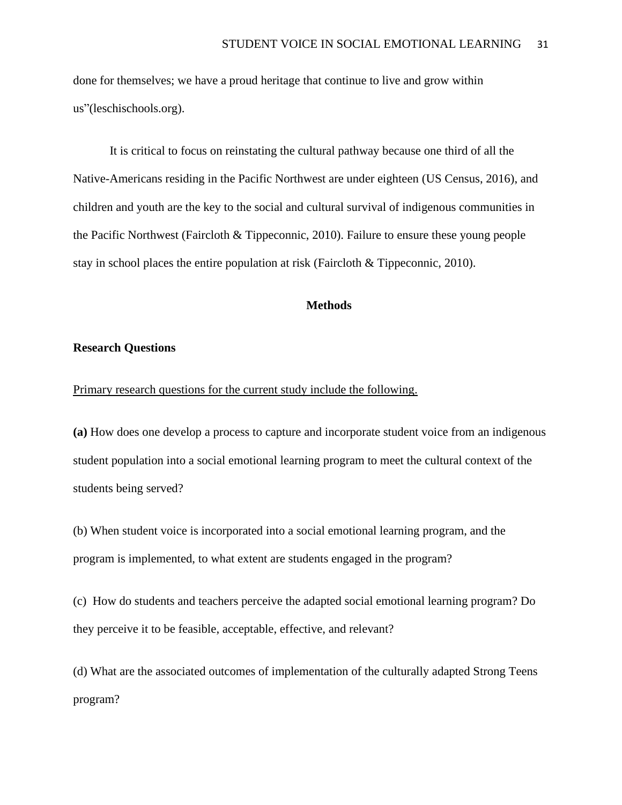done for themselves; we have a proud heritage that continue to live and grow within us"(leschischools.org).

It is critical to focus on reinstating the cultural pathway because one third of all the Native-Americans residing in the Pacific Northwest are under eighteen (US Census, 2016), and children and youth are the key to the social and cultural survival of indigenous communities in the Pacific Northwest (Faircloth & Tippeconnic, 2010). Failure to ensure these young people stay in school places the entire population at risk (Faircloth & Tippeconnic, 2010).

#### **Methods**

## **Research Questions**

### Primary research questions for the current study include the following.

**(a)** How does one develop a process to capture and incorporate student voice from an indigenous student population into a social emotional learning program to meet the cultural context of the students being served?

(b) When student voice is incorporated into a social emotional learning program, and the program is implemented, to what extent are students engaged in the program?

(c) How do students and teachers perceive the adapted social emotional learning program? Do they perceive it to be feasible, acceptable, effective, and relevant?

(d) What are the associated outcomes of implementation of the culturally adapted Strong Teens program?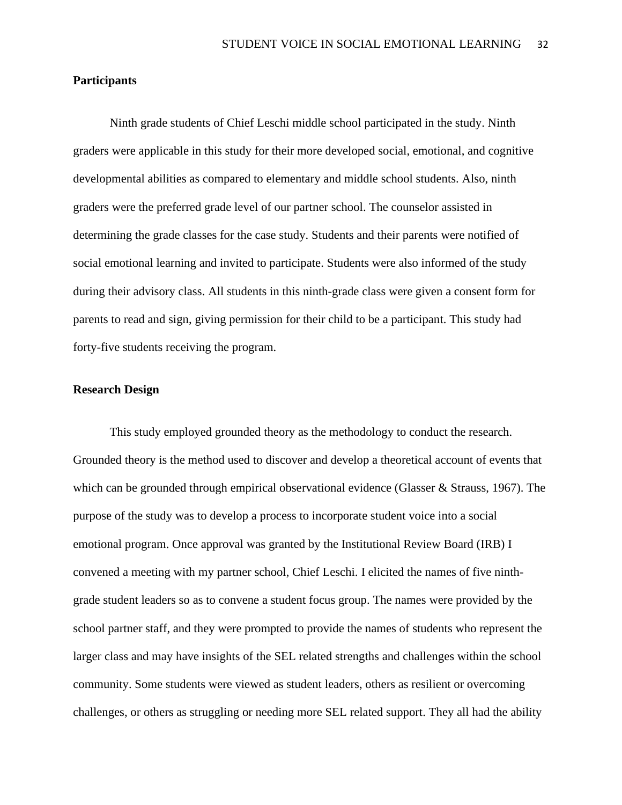## **Participants**

Ninth grade students of Chief Leschi middle school participated in the study. Ninth graders were applicable in this study for their more developed social, emotional, and cognitive developmental abilities as compared to elementary and middle school students. Also, ninth graders were the preferred grade level of our partner school. The counselor assisted in determining the grade classes for the case study. Students and their parents were notified of social emotional learning and invited to participate. Students were also informed of the study during their advisory class. All students in this ninth-grade class were given a consent form for parents to read and sign, giving permission for their child to be a participant. This study had forty-five students receiving the program.

## **Research Design**

This study employed grounded theory as the methodology to conduct the research. Grounded theory is the method used to discover and develop a theoretical account of events that which can be grounded through empirical observational evidence (Glasser & Strauss, 1967). The purpose of the study was to develop a process to incorporate student voice into a social emotional program. Once approval was granted by the Institutional Review Board (IRB) I convened a meeting with my partner school, Chief Leschi. I elicited the names of five ninthgrade student leaders so as to convene a student focus group. The names were provided by the school partner staff, and they were prompted to provide the names of students who represent the larger class and may have insights of the SEL related strengths and challenges within the school community. Some students were viewed as student leaders, others as resilient or overcoming challenges, or others as struggling or needing more SEL related support. They all had the ability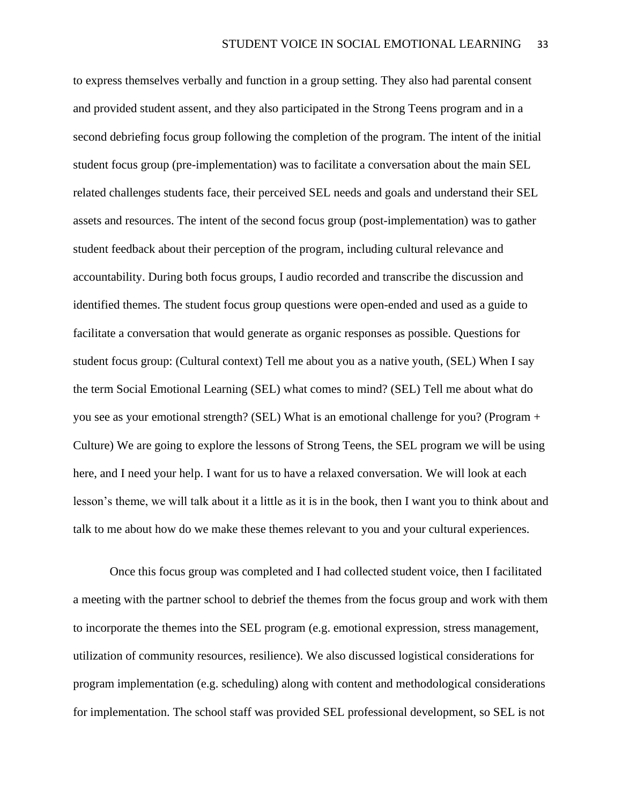to express themselves verbally and function in a group setting. They also had parental consent and provided student assent, and they also participated in the Strong Teens program and in a second debriefing focus group following the completion of the program. The intent of the initial student focus group (pre-implementation) was to facilitate a conversation about the main SEL related challenges students face, their perceived SEL needs and goals and understand their SEL assets and resources. The intent of the second focus group (post-implementation) was to gather student feedback about their perception of the program, including cultural relevance and accountability. During both focus groups, I audio recorded and transcribe the discussion and identified themes. The student focus group questions were open-ended and used as a guide to facilitate a conversation that would generate as organic responses as possible. Questions for student focus group: (Cultural context) Tell me about you as a native youth, (SEL) When I say the term Social Emotional Learning (SEL) what comes to mind? (SEL) Tell me about what do you see as your emotional strength? (SEL) What is an emotional challenge for you? (Program + Culture) We are going to explore the lessons of Strong Teens, the SEL program we will be using here, and I need your help. I want for us to have a relaxed conversation. We will look at each lesson's theme, we will talk about it a little as it is in the book, then I want you to think about and talk to me about how do we make these themes relevant to you and your cultural experiences.

Once this focus group was completed and I had collected student voice, then I facilitated a meeting with the partner school to debrief the themes from the focus group and work with them to incorporate the themes into the SEL program (e.g. emotional expression, stress management, utilization of community resources, resilience). We also discussed logistical considerations for program implementation (e.g. scheduling) along with content and methodological considerations for implementation. The school staff was provided SEL professional development, so SEL is not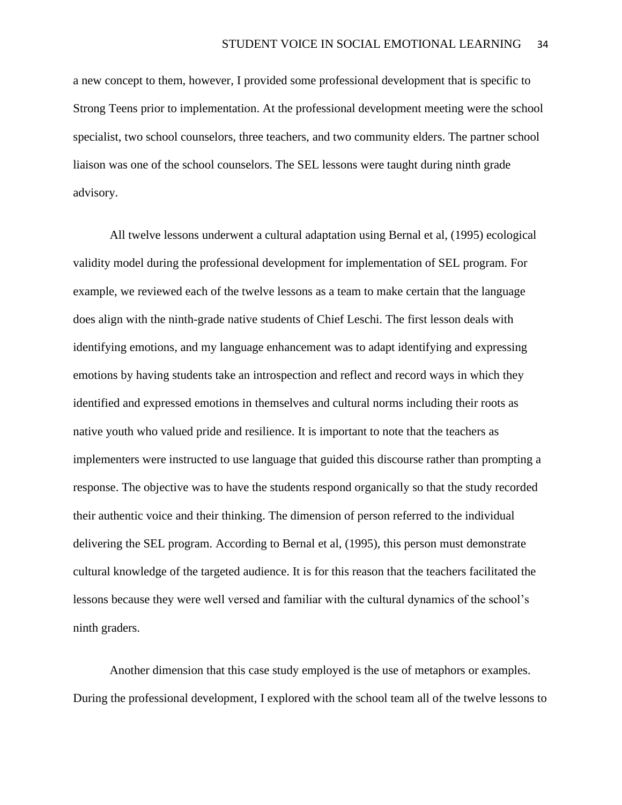a new concept to them, however, I provided some professional development that is specific to Strong Teens prior to implementation. At the professional development meeting were the school specialist, two school counselors, three teachers, and two community elders. The partner school liaison was one of the school counselors. The SEL lessons were taught during ninth grade advisory.

All twelve lessons underwent a cultural adaptation using Bernal et al, (1995) ecological validity model during the professional development for implementation of SEL program. For example, we reviewed each of the twelve lessons as a team to make certain that the language does align with the ninth-grade native students of Chief Leschi. The first lesson deals with identifying emotions, and my language enhancement was to adapt identifying and expressing emotions by having students take an introspection and reflect and record ways in which they identified and expressed emotions in themselves and cultural norms including their roots as native youth who valued pride and resilience. It is important to note that the teachers as implementers were instructed to use language that guided this discourse rather than prompting a response. The objective was to have the students respond organically so that the study recorded their authentic voice and their thinking. The dimension of person referred to the individual delivering the SEL program. According to Bernal et al, (1995), this person must demonstrate cultural knowledge of the targeted audience. It is for this reason that the teachers facilitated the lessons because they were well versed and familiar with the cultural dynamics of the school's ninth graders.

Another dimension that this case study employed is the use of metaphors or examples. During the professional development, I explored with the school team all of the twelve lessons to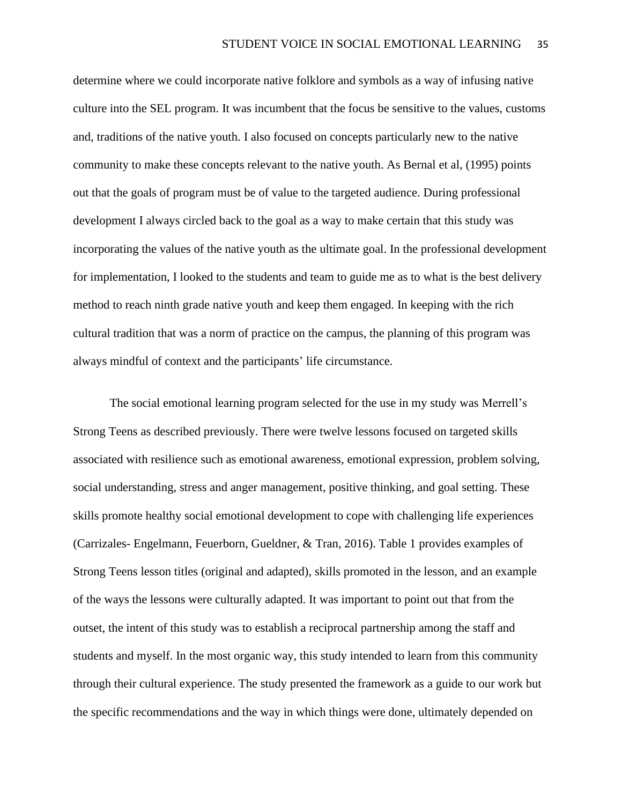determine where we could incorporate native folklore and symbols as a way of infusing native culture into the SEL program. It was incumbent that the focus be sensitive to the values, customs and, traditions of the native youth. I also focused on concepts particularly new to the native community to make these concepts relevant to the native youth. As Bernal et al, (1995) points out that the goals of program must be of value to the targeted audience. During professional development I always circled back to the goal as a way to make certain that this study was incorporating the values of the native youth as the ultimate goal. In the professional development for implementation, I looked to the students and team to guide me as to what is the best delivery method to reach ninth grade native youth and keep them engaged. In keeping with the rich cultural tradition that was a norm of practice on the campus, the planning of this program was always mindful of context and the participants' life circumstance.

The social emotional learning program selected for the use in my study was Merrell's Strong Teens as described previously. There were twelve lessons focused on targeted skills associated with resilience such as emotional awareness, emotional expression, problem solving, social understanding, stress and anger management, positive thinking, and goal setting. These skills promote healthy social emotional development to cope with challenging life experiences (Carrizales- Engelmann, Feuerborn, Gueldner, & Tran, 2016). Table 1 provides examples of Strong Teens lesson titles (original and adapted), skills promoted in the lesson, and an example of the ways the lessons were culturally adapted. It was important to point out that from the outset, the intent of this study was to establish a reciprocal partnership among the staff and students and myself. In the most organic way, this study intended to learn from this community through their cultural experience. The study presented the framework as a guide to our work but the specific recommendations and the way in which things were done, ultimately depended on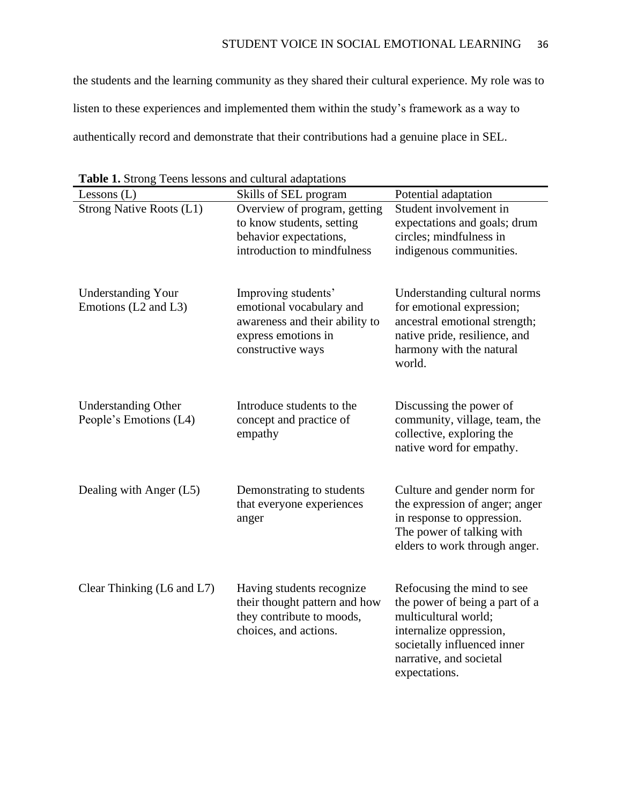the students and the learning community as they shared their cultural experience. My role was to listen to these experiences and implemented them within the study's framework as a way to authentically record and demonstrate that their contributions had a genuine place in SEL.

| $\mathbf{r}$ and $\mathbf{r}$ bublis<br>Lessons $(L)$ | <b>Tech</b> o ressons and candida adaptations<br>Skills of SEL program | Potential adaptation                                     |
|-------------------------------------------------------|------------------------------------------------------------------------|----------------------------------------------------------|
| Strong Native Roots (L1)                              | Overview of program, getting                                           | Student involvement in                                   |
|                                                       | to know students, setting                                              |                                                          |
|                                                       |                                                                        | expectations and goals; drum                             |
|                                                       | behavior expectations,                                                 | circles; mindfulness in                                  |
|                                                       | introduction to mindfulness                                            | indigenous communities.                                  |
|                                                       |                                                                        |                                                          |
| <b>Understanding Your</b>                             | Improving students'                                                    | Understanding cultural norms                             |
| Emotions (L2 and L3)                                  | emotional vocabulary and                                               | for emotional expression;                                |
|                                                       | awareness and their ability to                                         | ancestral emotional strength;                            |
|                                                       | express emotions in                                                    | native pride, resilience, and                            |
|                                                       | constructive ways                                                      | harmony with the natural                                 |
|                                                       |                                                                        | world.                                                   |
|                                                       |                                                                        |                                                          |
|                                                       | Introduce students to the                                              |                                                          |
| <b>Understanding Other</b><br>People's Emotions (L4)  | concept and practice of                                                | Discussing the power of<br>community, village, team, the |
|                                                       | empathy                                                                | collective, exploring the                                |
|                                                       |                                                                        | native word for empathy.                                 |
|                                                       |                                                                        |                                                          |
|                                                       |                                                                        |                                                          |
| Dealing with Anger (L5)                               | Demonstrating to students                                              | Culture and gender norm for                              |
|                                                       | that everyone experiences                                              | the expression of anger; anger                           |
|                                                       | anger                                                                  | in response to oppression.                               |
|                                                       |                                                                        | The power of talking with                                |
|                                                       |                                                                        | elders to work through anger.                            |
|                                                       |                                                                        |                                                          |
|                                                       |                                                                        |                                                          |
| Clear Thinking (L6 and L7)                            | Having students recognize                                              | Refocusing the mind to see                               |
|                                                       | their thought pattern and how                                          | the power of being a part of a                           |
|                                                       | they contribute to moods,                                              | multicultural world;                                     |
|                                                       | choices, and actions.                                                  | internalize oppression,                                  |
|                                                       |                                                                        | societally influenced inner                              |
|                                                       |                                                                        | narrative, and societal                                  |
|                                                       |                                                                        | expectations.                                            |

**Table 1.** Strong Teens lessons and cultural adaptations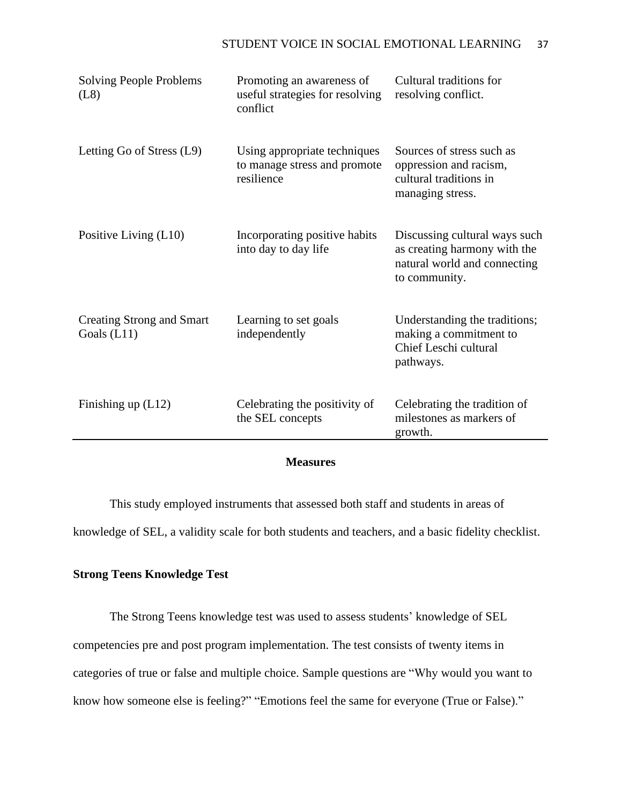| <b>Solving People Problems</b><br>(L8)            | Promoting an awareness of<br>useful strategies for resolving<br>conflict   | Cultural traditions for<br>resolving conflict.                                                                 |
|---------------------------------------------------|----------------------------------------------------------------------------|----------------------------------------------------------------------------------------------------------------|
| Letting Go of Stress (L9)                         | Using appropriate techniques<br>to manage stress and promote<br>resilience | Sources of stress such as<br>oppression and racism,<br>cultural traditions in<br>managing stress.              |
| Positive Living (L10)                             | Incorporating positive habits<br>into day to day life                      | Discussing cultural ways such<br>as creating harmony with the<br>natural world and connecting<br>to community. |
| <b>Creating Strong and Smart</b><br>Goals $(L11)$ | Learning to set goals<br>independently                                     | Understanding the traditions;<br>making a commitment to<br>Chief Leschi cultural<br>pathways.                  |
| Finishing up (L12)                                | Celebrating the positivity of<br>the SEL concepts                          | Celebrating the tradition of<br>milestones as markers of<br>growth.                                            |

## **Measures**

This study employed instruments that assessed both staff and students in areas of knowledge of SEL, a validity scale for both students and teachers, and a basic fidelity checklist.

## **Strong Teens Knowledge Test**

The Strong Teens knowledge test was used to assess students' knowledge of SEL competencies pre and post program implementation. The test consists of twenty items in categories of true or false and multiple choice. Sample questions are "Why would you want to know how someone else is feeling?" "Emotions feel the same for everyone (True or False)."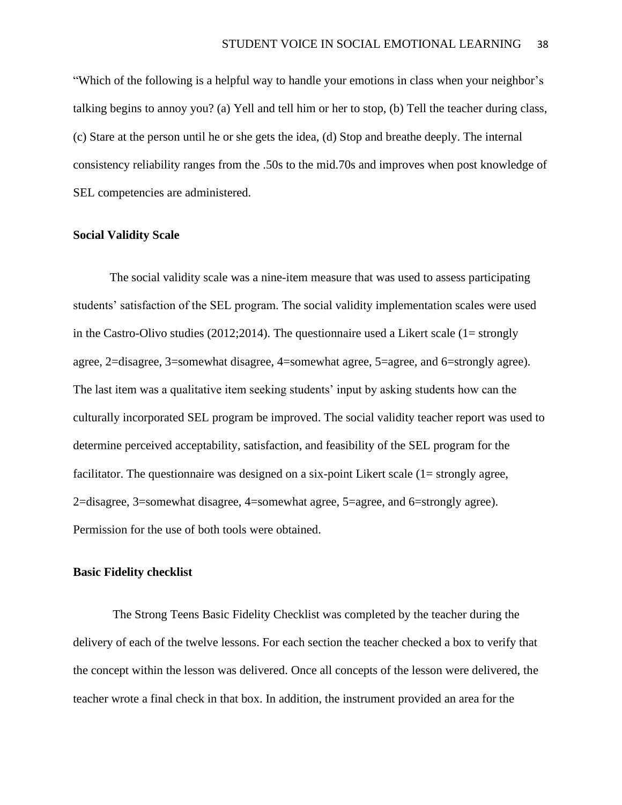"Which of the following is a helpful way to handle your emotions in class when your neighbor's talking begins to annoy you? (a) Yell and tell him or her to stop, (b) Tell the teacher during class, (c) Stare at the person until he or she gets the idea, (d) Stop and breathe deeply. The internal consistency reliability ranges from the .50s to the mid.70s and improves when post knowledge of SEL competencies are administered.

### **Social Validity Scale**

The social validity scale was a nine-item measure that was used to assess participating students' satisfaction of the SEL program. The social validity implementation scales were used in the Castro-Olivo studies (2012;2014). The questionnaire used a Likert scale (1= strongly agree, 2=disagree, 3=somewhat disagree, 4=somewhat agree, 5=agree, and 6=strongly agree). The last item was a qualitative item seeking students' input by asking students how can the culturally incorporated SEL program be improved. The social validity teacher report was used to determine perceived acceptability, satisfaction, and feasibility of the SEL program for the facilitator. The questionnaire was designed on a six-point Likert scale (1= strongly agree, 2=disagree, 3=somewhat disagree, 4=somewhat agree, 5=agree, and 6=strongly agree). Permission for the use of both tools were obtained.

#### **Basic Fidelity checklist**

The Strong Teens Basic Fidelity Checklist was completed by the teacher during the delivery of each of the twelve lessons. For each section the teacher checked a box to verify that the concept within the lesson was delivered. Once all concepts of the lesson were delivered, the teacher wrote a final check in that box. In addition, the instrument provided an area for the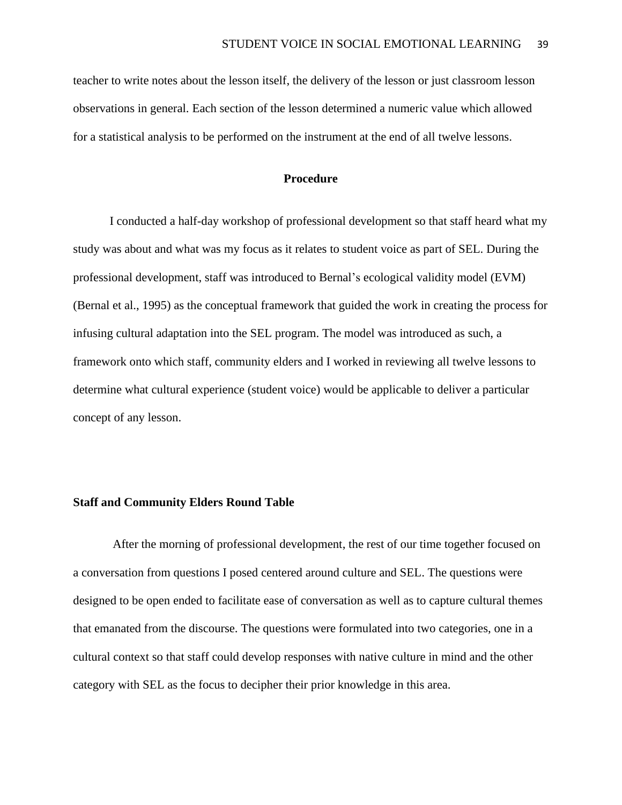teacher to write notes about the lesson itself, the delivery of the lesson or just classroom lesson observations in general. Each section of the lesson determined a numeric value which allowed for a statistical analysis to be performed on the instrument at the end of all twelve lessons.

## **Procedure**

I conducted a half-day workshop of professional development so that staff heard what my study was about and what was my focus as it relates to student voice as part of SEL. During the professional development, staff was introduced to Bernal's ecological validity model (EVM) (Bernal et al., 1995) as the conceptual framework that guided the work in creating the process for infusing cultural adaptation into the SEL program. The model was introduced as such, a framework onto which staff, community elders and I worked in reviewing all twelve lessons to determine what cultural experience (student voice) would be applicable to deliver a particular concept of any lesson.

#### **Staff and Community Elders Round Table**

After the morning of professional development, the rest of our time together focused on a conversation from questions I posed centered around culture and SEL. The questions were designed to be open ended to facilitate ease of conversation as well as to capture cultural themes that emanated from the discourse. The questions were formulated into two categories, one in a cultural context so that staff could develop responses with native culture in mind and the other category with SEL as the focus to decipher their prior knowledge in this area.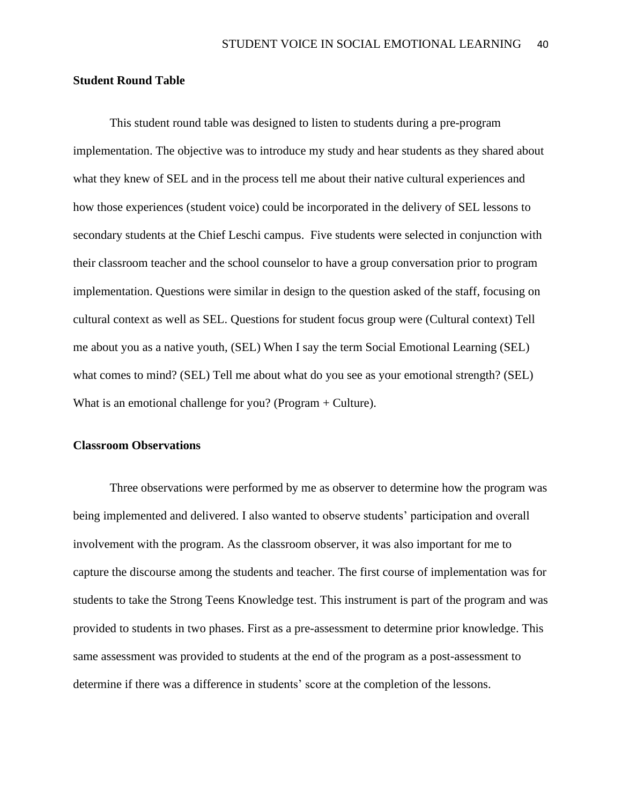#### **Student Round Table**

This student round table was designed to listen to students during a pre-program implementation. The objective was to introduce my study and hear students as they shared about what they knew of SEL and in the process tell me about their native cultural experiences and how those experiences (student voice) could be incorporated in the delivery of SEL lessons to secondary students at the Chief Leschi campus. Five students were selected in conjunction with their classroom teacher and the school counselor to have a group conversation prior to program implementation. Questions were similar in design to the question asked of the staff, focusing on cultural context as well as SEL. Questions for student focus group were (Cultural context) Tell me about you as a native youth, (SEL) When I say the term Social Emotional Learning (SEL) what comes to mind? (SEL) Tell me about what do you see as your emotional strength? (SEL) What is an emotional challenge for you? (Program + Culture).

#### **Classroom Observations**

Three observations were performed by me as observer to determine how the program was being implemented and delivered. I also wanted to observe students' participation and overall involvement with the program. As the classroom observer, it was also important for me to capture the discourse among the students and teacher. The first course of implementation was for students to take the Strong Teens Knowledge test. This instrument is part of the program and was provided to students in two phases. First as a pre-assessment to determine prior knowledge. This same assessment was provided to students at the end of the program as a post-assessment to determine if there was a difference in students' score at the completion of the lessons.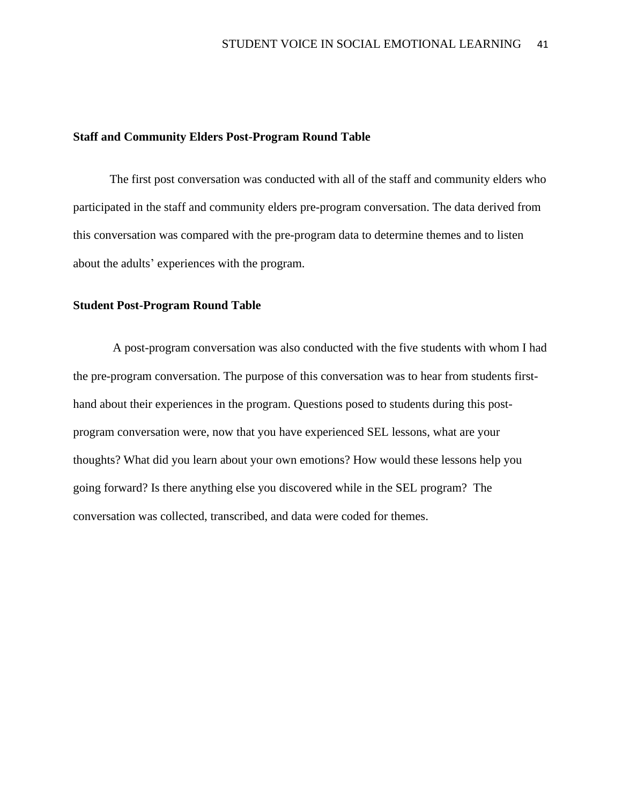### **Staff and Community Elders Post-Program Round Table**

The first post conversation was conducted with all of the staff and community elders who participated in the staff and community elders pre-program conversation. The data derived from this conversation was compared with the pre-program data to determine themes and to listen about the adults' experiences with the program.

## **Student Post-Program Round Table**

A post-program conversation was also conducted with the five students with whom I had the pre-program conversation. The purpose of this conversation was to hear from students firsthand about their experiences in the program. Questions posed to students during this postprogram conversation were, now that you have experienced SEL lessons, what are your thoughts? What did you learn about your own emotions? How would these lessons help you going forward? Is there anything else you discovered while in the SEL program? The conversation was collected, transcribed, and data were coded for themes.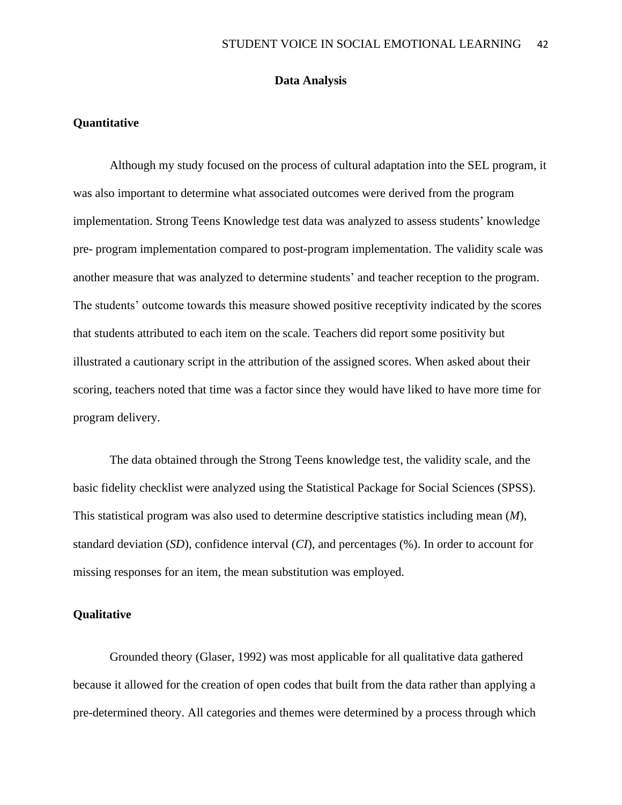## **Data Analysis**

### **Quantitative**

Although my study focused on the process of cultural adaptation into the SEL program, it was also important to determine what associated outcomes were derived from the program implementation. Strong Teens Knowledge test data was analyzed to assess students' knowledge pre- program implementation compared to post-program implementation. The validity scale was another measure that was analyzed to determine students' and teacher reception to the program. The students' outcome towards this measure showed positive receptivity indicated by the scores that students attributed to each item on the scale. Teachers did report some positivity but illustrated a cautionary script in the attribution of the assigned scores. When asked about their scoring, teachers noted that time was a factor since they would have liked to have more time for program delivery.

The data obtained through the Strong Teens knowledge test, the validity scale, and the basic fidelity checklist were analyzed using the Statistical Package for Social Sciences (SPSS). This statistical program was also used to determine descriptive statistics including mean (*M*), standard deviation (*SD*), confidence interval (*CI*), and percentages (%). In order to account for missing responses for an item, the mean substitution was employed.

## **Qualitative**

Grounded theory (Glaser, 1992) was most applicable for all qualitative data gathered because it allowed for the creation of open codes that built from the data rather than applying a pre-determined theory. All categories and themes were determined by a process through which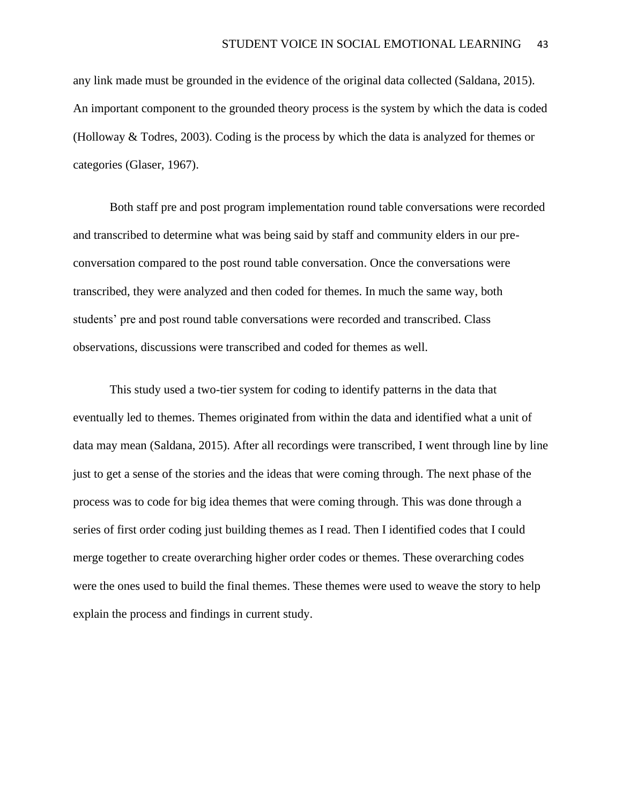any link made must be grounded in the evidence of the original data collected (Saldana, 2015). An important component to the grounded theory process is the system by which the data is coded (Holloway & Todres, 2003). Coding is the process by which the data is analyzed for themes or categories (Glaser, 1967).

Both staff pre and post program implementation round table conversations were recorded and transcribed to determine what was being said by staff and community elders in our preconversation compared to the post round table conversation. Once the conversations were transcribed, they were analyzed and then coded for themes. In much the same way, both students' pre and post round table conversations were recorded and transcribed. Class observations, discussions were transcribed and coded for themes as well.

This study used a two-tier system for coding to identify patterns in the data that eventually led to themes. Themes originated from within the data and identified what a unit of data may mean (Saldana, 2015). After all recordings were transcribed, I went through line by line just to get a sense of the stories and the ideas that were coming through. The next phase of the process was to code for big idea themes that were coming through. This was done through a series of first order coding just building themes as I read. Then I identified codes that I could merge together to create overarching higher order codes or themes. These overarching codes were the ones used to build the final themes. These themes were used to weave the story to help explain the process and findings in current study.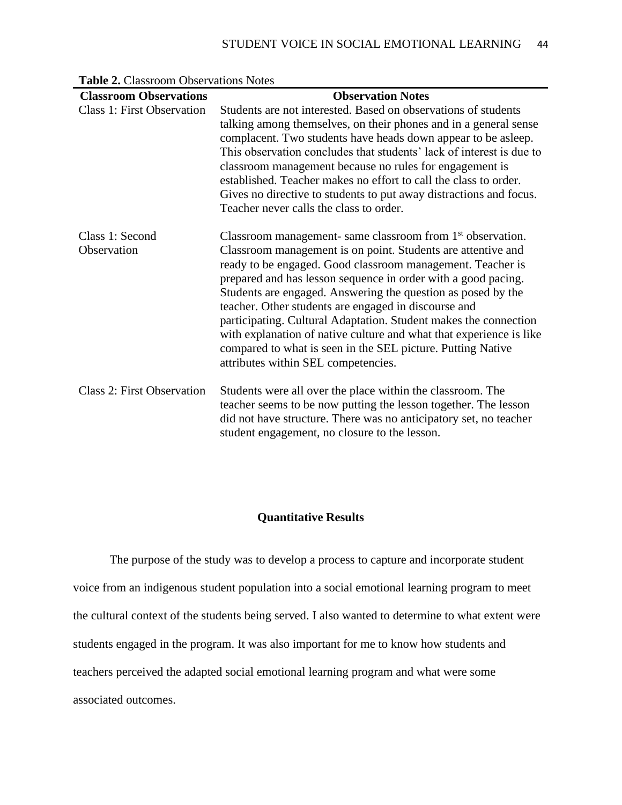| <b>Classroom Observations</b>     | <b>Observation Notes</b>                                                                                                                                                                                                                                                                                                                                                                                                                                                                                                                                                                                                                       |
|-----------------------------------|------------------------------------------------------------------------------------------------------------------------------------------------------------------------------------------------------------------------------------------------------------------------------------------------------------------------------------------------------------------------------------------------------------------------------------------------------------------------------------------------------------------------------------------------------------------------------------------------------------------------------------------------|
| <b>Class 1: First Observation</b> | Students are not interested. Based on observations of students<br>talking among themselves, on their phones and in a general sense<br>complacent. Two students have heads down appear to be asleep.<br>This observation concludes that students' lack of interest is due to<br>classroom management because no rules for engagement is<br>established. Teacher makes no effort to call the class to order.<br>Gives no directive to students to put away distractions and focus.<br>Teacher never calls the class to order.                                                                                                                    |
| Class 1: Second<br>Observation    | Classroom management- same classroom from 1 <sup>st</sup> observation.<br>Classroom management is on point. Students are attentive and<br>ready to be engaged. Good classroom management. Teacher is<br>prepared and has lesson sequence in order with a good pacing.<br>Students are engaged. Answering the question as posed by the<br>teacher. Other students are engaged in discourse and<br>participating. Cultural Adaptation. Student makes the connection<br>with explanation of native culture and what that experience is like<br>compared to what is seen in the SEL picture. Putting Native<br>attributes within SEL competencies. |
| <b>Class 2: First Observation</b> | Students were all over the place within the classroom. The<br>teacher seems to be now putting the lesson together. The lesson<br>did not have structure. There was no anticipatory set, no teacher<br>student engagement, no closure to the lesson.                                                                                                                                                                                                                                                                                                                                                                                            |

**Table 2.** Classroom Observations Notes

## **Quantitative Results**

The purpose of the study was to develop a process to capture and incorporate student voice from an indigenous student population into a social emotional learning program to meet the cultural context of the students being served. I also wanted to determine to what extent were students engaged in the program. It was also important for me to know how students and teachers perceived the adapted social emotional learning program and what were some associated outcomes.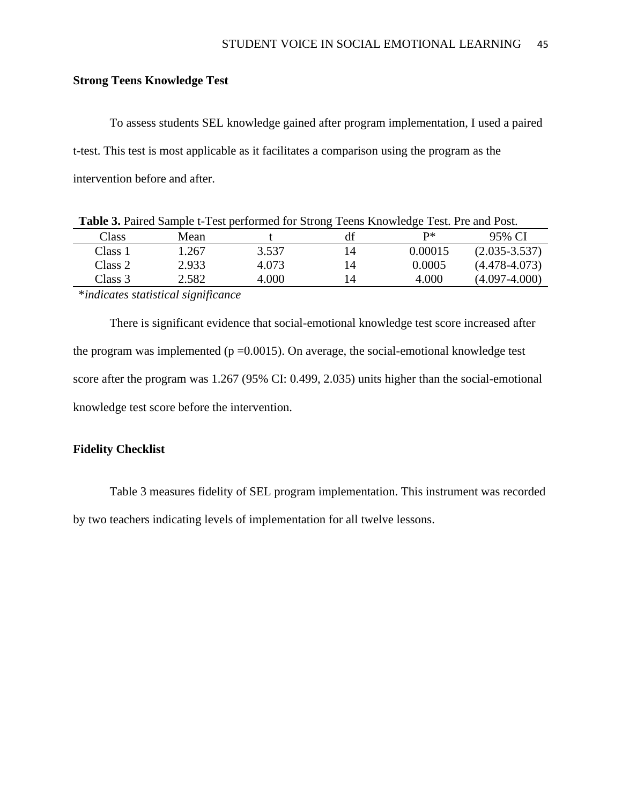## **Strong Teens Knowledge Test**

To assess students SEL knowledge gained after program implementation, I used a paired t-test. This test is most applicable as it facilitates a comparison using the program as the intervention before and after.

| <b>Table 3.</b> Paired Sample t-Test performed for Strong Teens Knowledge Test. Pre and Post. |       |       |    |         |                   |
|-----------------------------------------------------------------------------------------------|-------|-------|----|---------|-------------------|
| Class                                                                                         | Mean  |       | df | P∗      | 95% CI            |
| Class 1                                                                                       | 1.267 | 3.537 |    | 0.00015 | $(2.035 - 3.537)$ |
| Class 2                                                                                       | 2.933 | 4.073 | 14 | 0.0005  | $(4.478 - 4.073)$ |
| Class 3                                                                                       | 2.582 | 4.000 | 14 | 4.000   | $(4.097 - 4.000)$ |

\**indicates statistical significance* 

There is significant evidence that social-emotional knowledge test score increased after the program was implemented ( $p = 0.0015$ ). On average, the social-emotional knowledge test score after the program was 1.267 (95% CI: 0.499, 2.035) units higher than the social-emotional knowledge test score before the intervention.

### **Fidelity Checklist**

Table 3 measures fidelity of SEL program implementation. This instrument was recorded by two teachers indicating levels of implementation for all twelve lessons.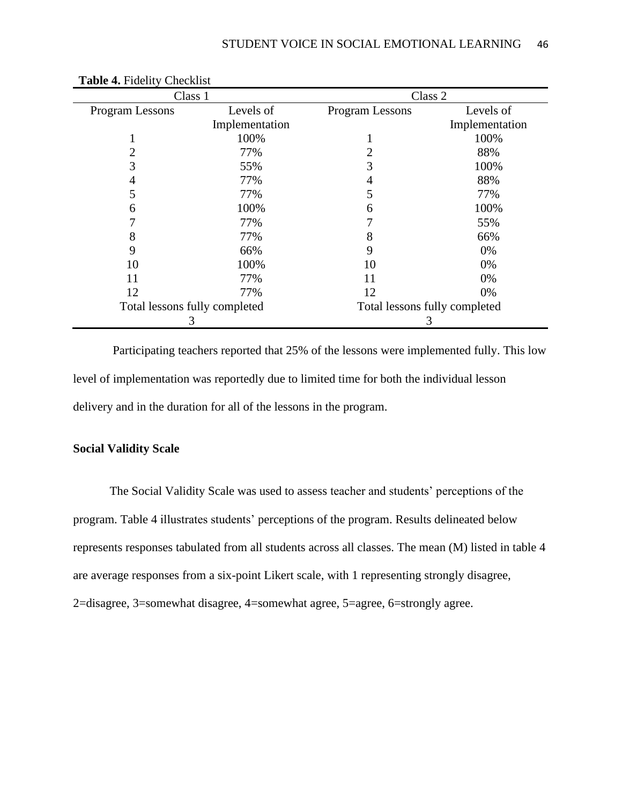|                 | Class 1                       | Class 2                       |                |
|-----------------|-------------------------------|-------------------------------|----------------|
| Program Lessons | Levels of                     | Program Lessons               | Levels of      |
|                 | Implementation                |                               | Implementation |
|                 | 100%                          |                               | 100%           |
|                 | 77%                           |                               | 88%            |
| 3               | 55%                           | 3                             | 100%           |
|                 | 77%                           | 4                             | 88%            |
| 5               | 77%                           | 5                             | 77%            |
| 6               | 100%                          | 6                             | 100%           |
|                 | 77%                           |                               | 55%            |
| 8               | 77%                           | 8                             | 66%            |
| 9               | 66%                           | 9                             | 0%             |
| 10              | 100%                          | 10                            | 0%             |
| 11              | 77%                           | 11                            | 0%             |
| 12              | 77%                           | 12                            | 0%             |
|                 | Total lessons fully completed | Total lessons fully completed |                |
|                 | 3                             | 3                             |                |

**Table 4.** Fidelity Checklist

Participating teachers reported that 25% of the lessons were implemented fully. This low level of implementation was reportedly due to limited time for both the individual lesson delivery and in the duration for all of the lessons in the program.

### **Social Validity Scale**

The Social Validity Scale was used to assess teacher and students' perceptions of the program. Table 4 illustrates students' perceptions of the program. Results delineated below represents responses tabulated from all students across all classes. The mean (M) listed in table 4 are average responses from a six-point Likert scale, with 1 representing strongly disagree, 2=disagree, 3=somewhat disagree, 4=somewhat agree, 5=agree, 6=strongly agree.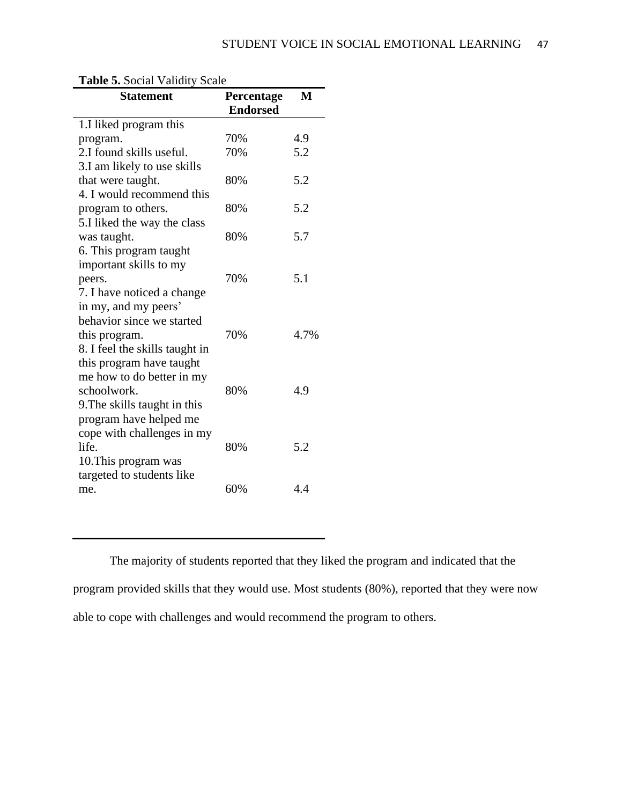| <b>Statement</b>               | Percentage<br><b>Endorsed</b> | M    |
|--------------------------------|-------------------------------|------|
|                                |                               |      |
| 1.I liked program this         | 70%                           | 4.9  |
| program.                       |                               |      |
| 2.I found skills useful.       | 70%                           | 5.2  |
| 3.I am likely to use skills    |                               |      |
| that were taught.              | 80%                           | 5.2  |
| 4. I would recommend this      |                               |      |
| program to others.             | 80%                           | 5.2  |
| 5.I liked the way the class    |                               |      |
| was taught.                    | 80%                           | 5.7  |
| 6. This program taught         |                               |      |
| important skills to my         |                               |      |
| peers.                         | 70%                           | 5.1  |
| 7. I have noticed a change     |                               |      |
| in my, and my peers'           |                               |      |
| behavior since we started      |                               |      |
| this program.                  | 70%                           | 4.7% |
| 8. I feel the skills taught in |                               |      |
| this program have taught       |                               |      |
| me how to do better in my      |                               |      |
| schoolwork.                    | 80%                           | 4.9  |
| 9. The skills taught in this   |                               |      |
| program have helped me         |                               |      |
| cope with challenges in my     |                               |      |
| life.                          | 80%                           | 5.2  |
| 10. This program was           |                               |      |
| targeted to students like      |                               |      |
| me.                            | 60%                           | 4.4  |

## **Table 5.** Social Validity Scale

The majority of students reported that they liked the program and indicated that the program provided skills that they would use. Most students (80%), reported that they were now able to cope with challenges and would recommend the program to others.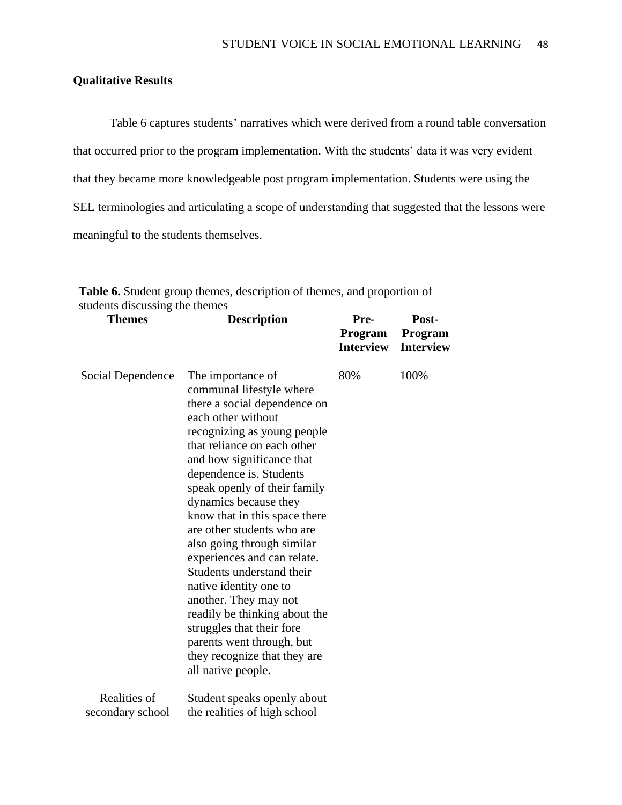## **Qualitative Results**

Table 6 captures students' narratives which were derived from a round table conversation that occurred prior to the program implementation. With the students' data it was very evident that they became more knowledgeable post program implementation. Students were using the SEL terminologies and articulating a scope of understanding that suggested that the lessons were meaningful to the students themselves.

| <b>Themes</b>                    | <b>Description</b>                                                                                                                                                                                                                                                                                                                                                                                                                                                                                                                                                                                                                              | Pre-<br>Program<br><b>Interview</b> | Post-<br>Program<br><b>Interview</b> |
|----------------------------------|-------------------------------------------------------------------------------------------------------------------------------------------------------------------------------------------------------------------------------------------------------------------------------------------------------------------------------------------------------------------------------------------------------------------------------------------------------------------------------------------------------------------------------------------------------------------------------------------------------------------------------------------------|-------------------------------------|--------------------------------------|
| Social Dependence                | The importance of<br>communal lifestyle where<br>there a social dependence on<br>each other without<br>recognizing as young people<br>that reliance on each other<br>and how significance that<br>dependence is. Students<br>speak openly of their family<br>dynamics because they<br>know that in this space there<br>are other students who are<br>also going through similar<br>experiences and can relate.<br>Students understand their<br>native identity one to<br>another. They may not<br>readily be thinking about the<br>struggles that their fore<br>parents went through, but<br>they recognize that they are<br>all native people. | 80%                                 | 100%                                 |
| Realities of<br>secondary school | Student speaks openly about<br>the realities of high school                                                                                                                                                                                                                                                                                                                                                                                                                                                                                                                                                                                     |                                     |                                      |

**Table 6.** Student group themes, description of themes, and proportion of students discussing the themes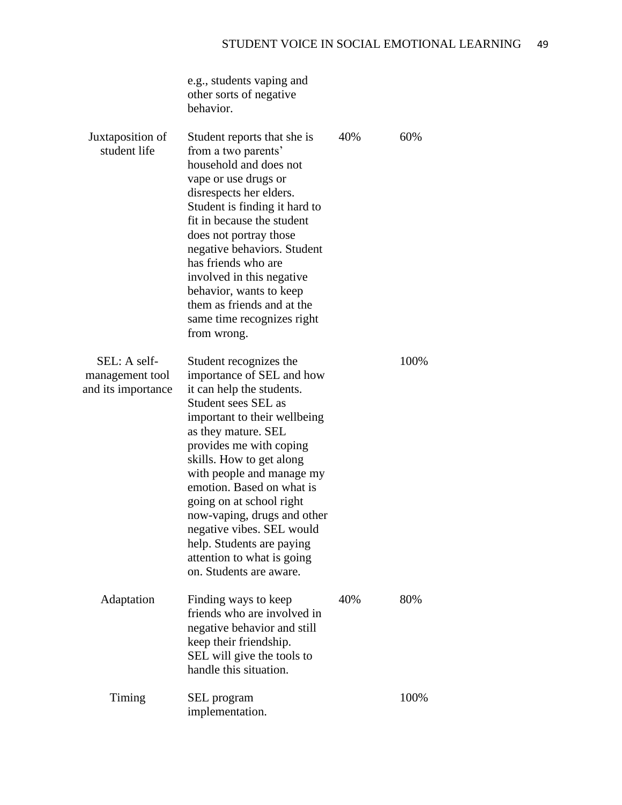|                                                       | e.g., students vaping and<br>other sorts of negative<br>behavior.                                                                                                                                                                                                                                                                                                                                                                                             |     |      |
|-------------------------------------------------------|---------------------------------------------------------------------------------------------------------------------------------------------------------------------------------------------------------------------------------------------------------------------------------------------------------------------------------------------------------------------------------------------------------------------------------------------------------------|-----|------|
| Juxtaposition of<br>student life                      | Student reports that she is<br>from a two parents'<br>household and does not<br>vape or use drugs or<br>disrespects her elders.<br>Student is finding it hard to<br>fit in because the student<br>does not portray those<br>negative behaviors. Student<br>has friends who are<br>involved in this negative<br>behavior, wants to keep<br>them as friends and at the<br>same time recognizes right<br>from wrong.                                             | 40% | 60%  |
| SEL: A self-<br>management tool<br>and its importance | Student recognizes the<br>importance of SEL and how<br>it can help the students.<br>Student sees SEL as<br>important to their wellbeing<br>as they mature. SEL<br>provides me with coping<br>skills. How to get along<br>with people and manage my<br>emotion. Based on what is<br>going on at school right<br>now-vaping, drugs and other<br>negative vibes. SEL would<br>help. Students are paying<br>attention to what is going<br>on. Students are aware. |     | 100% |
| Adaptation                                            | Finding ways to keep<br>friends who are involved in<br>negative behavior and still<br>keep their friendship.<br>SEL will give the tools to<br>handle this situation.                                                                                                                                                                                                                                                                                          | 40% | 80%  |
| Timing                                                | SEL program<br>implementation.                                                                                                                                                                                                                                                                                                                                                                                                                                |     | 100% |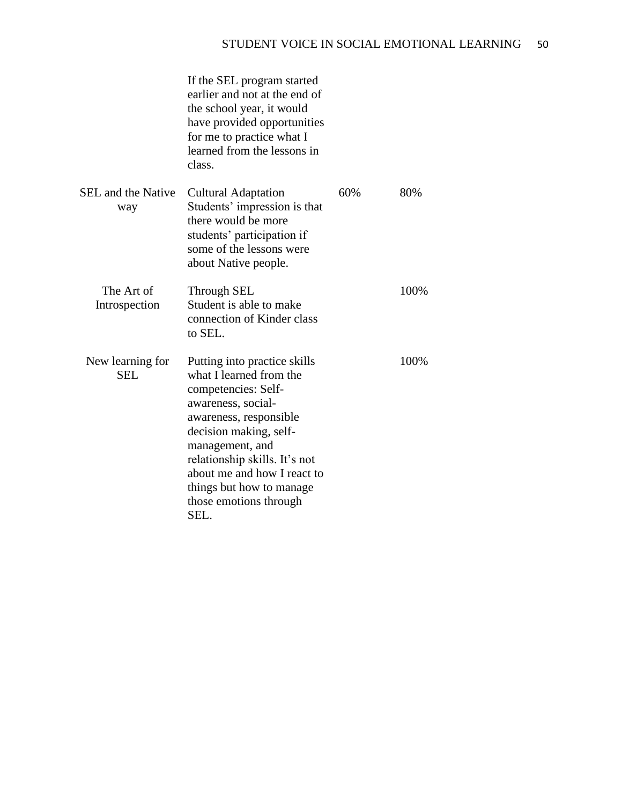|                                  | If the SEL program started<br>earlier and not at the end of<br>the school year, it would<br>have provided opportunities<br>for me to practice what I<br>learned from the lessons in<br>class.                                                                                                             |     |      |
|----------------------------------|-----------------------------------------------------------------------------------------------------------------------------------------------------------------------------------------------------------------------------------------------------------------------------------------------------------|-----|------|
| <b>SEL</b> and the Native<br>way | <b>Cultural Adaptation</b><br>Students' impression is that<br>there would be more<br>students' participation if<br>some of the lessons were<br>about Native people.                                                                                                                                       | 60% | 80%  |
| The Art of<br>Introspection      | <b>Through SEL</b><br>Student is able to make<br>connection of Kinder class<br>to SEL.                                                                                                                                                                                                                    |     | 100% |
| New learning for<br><b>SEL</b>   | Putting into practice skills<br>what I learned from the<br>competencies: Self-<br>awareness, social-<br>awareness, responsible<br>decision making, self-<br>management, and<br>relationship skills. It's not<br>about me and how I react to<br>things but how to manage<br>those emotions through<br>SEL. |     | 100% |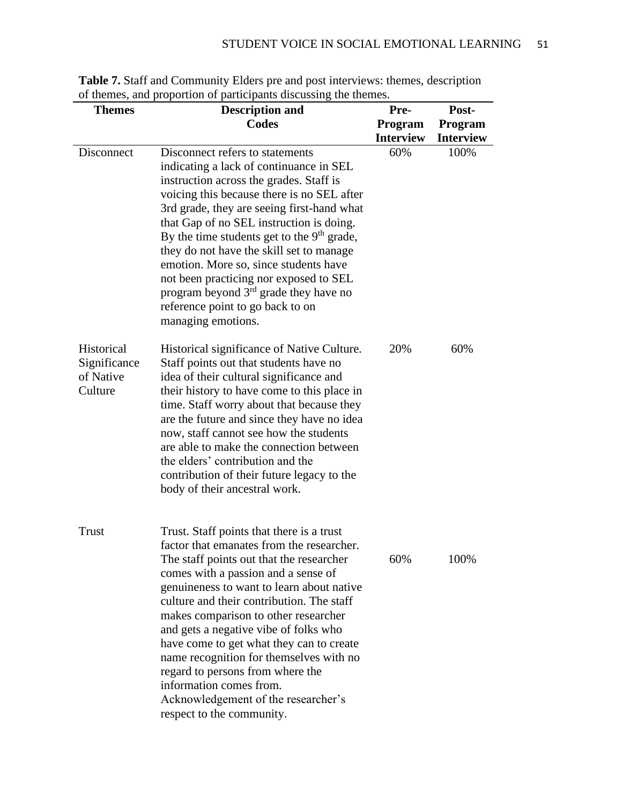| <b>Themes</b>                                      | <b>Description and</b>                                                                                                                                                                                                                                                                                                                                                                                                                                                                                                                                                         | Pre-                        | Post-                       |
|----------------------------------------------------|--------------------------------------------------------------------------------------------------------------------------------------------------------------------------------------------------------------------------------------------------------------------------------------------------------------------------------------------------------------------------------------------------------------------------------------------------------------------------------------------------------------------------------------------------------------------------------|-----------------------------|-----------------------------|
|                                                    | <b>Codes</b>                                                                                                                                                                                                                                                                                                                                                                                                                                                                                                                                                                   | Program<br><b>Interview</b> | Program<br><b>Interview</b> |
| Disconnect                                         | Disconnect refers to statements<br>indicating a lack of continuance in SEL<br>instruction across the grades. Staff is<br>voicing this because there is no SEL after<br>3rd grade, they are seeing first-hand what<br>that Gap of no SEL instruction is doing.<br>By the time students get to the 9 <sup>th</sup> grade,<br>they do not have the skill set to manage<br>emotion. More so, since students have<br>not been practicing nor exposed to SEL<br>program beyond 3 <sup>rd</sup> grade they have no<br>reference point to go back to on<br>managing emotions.          | 60%                         | 100%                        |
| Historical<br>Significance<br>of Native<br>Culture | Historical significance of Native Culture.<br>Staff points out that students have no<br>idea of their cultural significance and<br>their history to have come to this place in<br>time. Staff worry about that because they<br>are the future and since they have no idea<br>now, staff cannot see how the students<br>are able to make the connection between<br>the elders' contribution and the<br>contribution of their future legacy to the<br>body of their ancestral work.                                                                                              | 20%                         | 60%                         |
| <b>Trust</b>                                       | Trust. Staff points that there is a trust<br>factor that emanates from the researcher.<br>The staff points out that the researcher<br>comes with a passion and a sense of<br>genuineness to want to learn about native<br>culture and their contribution. The staff<br>makes comparison to other researcher<br>and gets a negative vibe of folks who<br>have come to get what they can to create<br>name recognition for themselves with no<br>regard to persons from where the<br>information comes from.<br>Acknowledgement of the researcher's<br>respect to the community. | 60%                         | 100%                        |

**Table 7.** Staff and Community Elders pre and post interviews: themes, description of themes, and proportion of participants discussing the themes.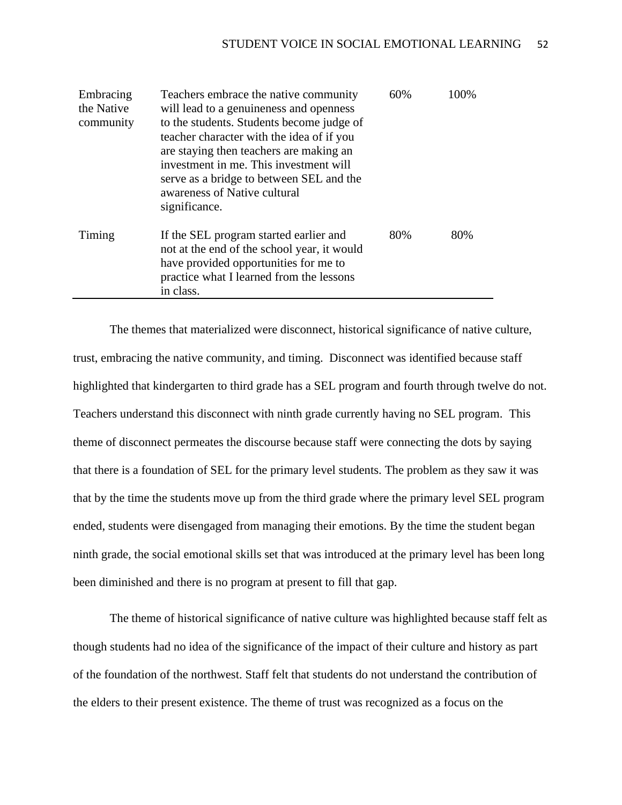| Embracing<br>the Native<br>community | Teachers embrace the native community<br>will lead to a genuineness and openness<br>to the students. Students become judge of<br>teacher character with the idea of if you<br>are staying then teachers are making an<br>investment in me. This investment will<br>serve as a bridge to between SEL and the<br>awareness of Native cultural<br>significance. | 60% | 100% |
|--------------------------------------|--------------------------------------------------------------------------------------------------------------------------------------------------------------------------------------------------------------------------------------------------------------------------------------------------------------------------------------------------------------|-----|------|
| Timing                               | If the SEL program started earlier and<br>not at the end of the school year, it would<br>have provided opportunities for me to<br>practice what I learned from the lessons<br>in class.                                                                                                                                                                      | 80% | 80%  |

The themes that materialized were disconnect, historical significance of native culture, trust, embracing the native community, and timing. Disconnect was identified because staff highlighted that kindergarten to third grade has a SEL program and fourth through twelve do not. Teachers understand this disconnect with ninth grade currently having no SEL program. This theme of disconnect permeates the discourse because staff were connecting the dots by saying that there is a foundation of SEL for the primary level students. The problem as they saw it was that by the time the students move up from the third grade where the primary level SEL program ended, students were disengaged from managing their emotions. By the time the student began ninth grade, the social emotional skills set that was introduced at the primary level has been long been diminished and there is no program at present to fill that gap.

The theme of historical significance of native culture was highlighted because staff felt as though students had no idea of the significance of the impact of their culture and history as part of the foundation of the northwest. Staff felt that students do not understand the contribution of the elders to their present existence. The theme of trust was recognized as a focus on the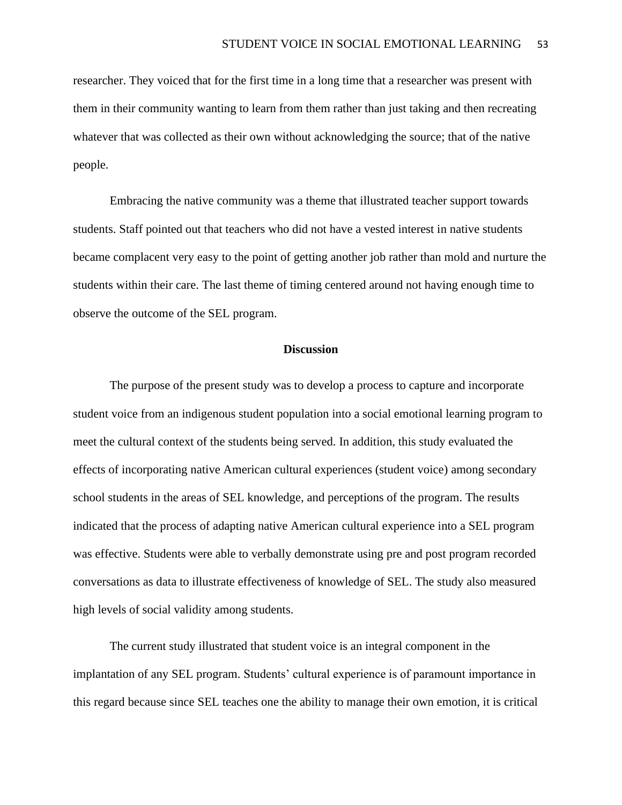researcher. They voiced that for the first time in a long time that a researcher was present with them in their community wanting to learn from them rather than just taking and then recreating whatever that was collected as their own without acknowledging the source; that of the native people.

Embracing the native community was a theme that illustrated teacher support towards students. Staff pointed out that teachers who did not have a vested interest in native students became complacent very easy to the point of getting another job rather than mold and nurture the students within their care. The last theme of timing centered around not having enough time to observe the outcome of the SEL program.

#### **Discussion**

The purpose of the present study was to develop a process to capture and incorporate student voice from an indigenous student population into a social emotional learning program to meet the cultural context of the students being served. In addition, this study evaluated the effects of incorporating native American cultural experiences (student voice) among secondary school students in the areas of SEL knowledge, and perceptions of the program. The results indicated that the process of adapting native American cultural experience into a SEL program was effective. Students were able to verbally demonstrate using pre and post program recorded conversations as data to illustrate effectiveness of knowledge of SEL. The study also measured high levels of social validity among students.

The current study illustrated that student voice is an integral component in the implantation of any SEL program. Students' cultural experience is of paramount importance in this regard because since SEL teaches one the ability to manage their own emotion, it is critical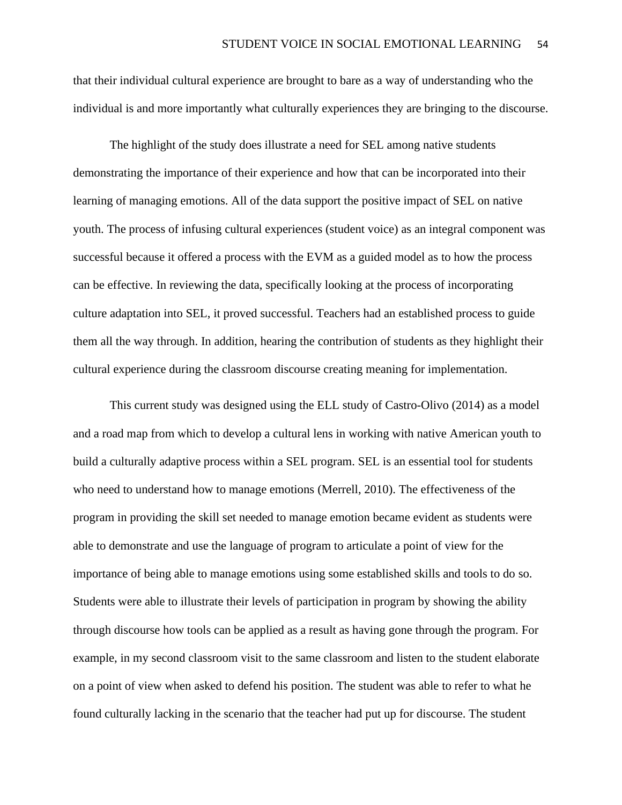that their individual cultural experience are brought to bare as a way of understanding who the individual is and more importantly what culturally experiences they are bringing to the discourse.

The highlight of the study does illustrate a need for SEL among native students demonstrating the importance of their experience and how that can be incorporated into their learning of managing emotions. All of the data support the positive impact of SEL on native youth. The process of infusing cultural experiences (student voice) as an integral component was successful because it offered a process with the EVM as a guided model as to how the process can be effective. In reviewing the data, specifically looking at the process of incorporating culture adaptation into SEL, it proved successful. Teachers had an established process to guide them all the way through. In addition, hearing the contribution of students as they highlight their cultural experience during the classroom discourse creating meaning for implementation.

This current study was designed using the ELL study of Castro-Olivo (2014) as a model and a road map from which to develop a cultural lens in working with native American youth to build a culturally adaptive process within a SEL program. SEL is an essential tool for students who need to understand how to manage emotions (Merrell, 2010). The effectiveness of the program in providing the skill set needed to manage emotion became evident as students were able to demonstrate and use the language of program to articulate a point of view for the importance of being able to manage emotions using some established skills and tools to do so. Students were able to illustrate their levels of participation in program by showing the ability through discourse how tools can be applied as a result as having gone through the program. For example, in my second classroom visit to the same classroom and listen to the student elaborate on a point of view when asked to defend his position. The student was able to refer to what he found culturally lacking in the scenario that the teacher had put up for discourse. The student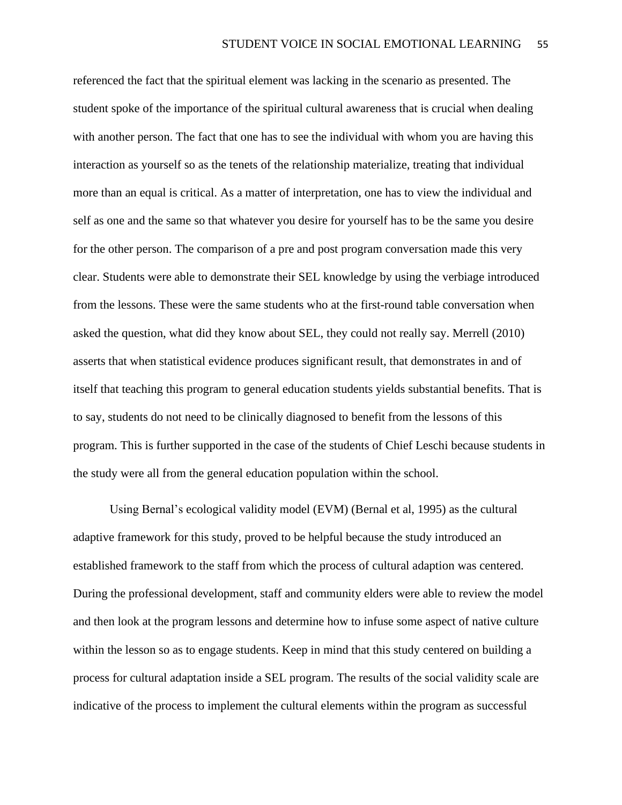referenced the fact that the spiritual element was lacking in the scenario as presented. The student spoke of the importance of the spiritual cultural awareness that is crucial when dealing with another person. The fact that one has to see the individual with whom you are having this interaction as yourself so as the tenets of the relationship materialize, treating that individual more than an equal is critical. As a matter of interpretation, one has to view the individual and self as one and the same so that whatever you desire for yourself has to be the same you desire for the other person. The comparison of a pre and post program conversation made this very clear. Students were able to demonstrate their SEL knowledge by using the verbiage introduced from the lessons. These were the same students who at the first-round table conversation when asked the question, what did they know about SEL, they could not really say. Merrell (2010) asserts that when statistical evidence produces significant result, that demonstrates in and of itself that teaching this program to general education students yields substantial benefits. That is to say, students do not need to be clinically diagnosed to benefit from the lessons of this program. This is further supported in the case of the students of Chief Leschi because students in the study were all from the general education population within the school.

Using Bernal's ecological validity model (EVM) (Bernal et al, 1995) as the cultural adaptive framework for this study, proved to be helpful because the study introduced an established framework to the staff from which the process of cultural adaption was centered. During the professional development, staff and community elders were able to review the model and then look at the program lessons and determine how to infuse some aspect of native culture within the lesson so as to engage students. Keep in mind that this study centered on building a process for cultural adaptation inside a SEL program. The results of the social validity scale are indicative of the process to implement the cultural elements within the program as successful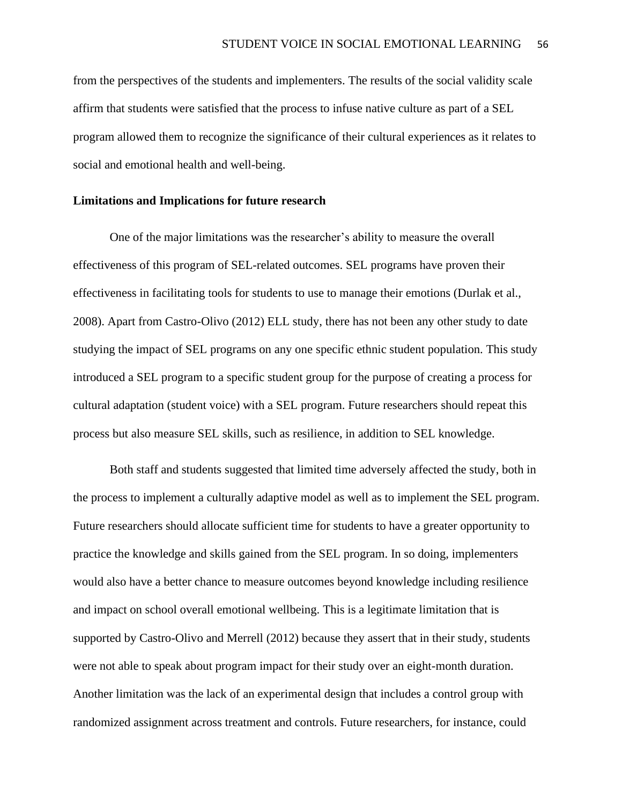from the perspectives of the students and implementers. The results of the social validity scale affirm that students were satisfied that the process to infuse native culture as part of a SEL program allowed them to recognize the significance of their cultural experiences as it relates to social and emotional health and well-being.

#### **Limitations and Implications for future research**

One of the major limitations was the researcher's ability to measure the overall effectiveness of this program of SEL-related outcomes. SEL programs have proven their effectiveness in facilitating tools for students to use to manage their emotions (Durlak et al., 2008). Apart from Castro-Olivo (2012) ELL study, there has not been any other study to date studying the impact of SEL programs on any one specific ethnic student population. This study introduced a SEL program to a specific student group for the purpose of creating a process for cultural adaptation (student voice) with a SEL program. Future researchers should repeat this process but also measure SEL skills, such as resilience, in addition to SEL knowledge.

Both staff and students suggested that limited time adversely affected the study, both in the process to implement a culturally adaptive model as well as to implement the SEL program. Future researchers should allocate sufficient time for students to have a greater opportunity to practice the knowledge and skills gained from the SEL program. In so doing, implementers would also have a better chance to measure outcomes beyond knowledge including resilience and impact on school overall emotional wellbeing. This is a legitimate limitation that is supported by Castro-Olivo and Merrell (2012) because they assert that in their study, students were not able to speak about program impact for their study over an eight-month duration. Another limitation was the lack of an experimental design that includes a control group with randomized assignment across treatment and controls. Future researchers, for instance, could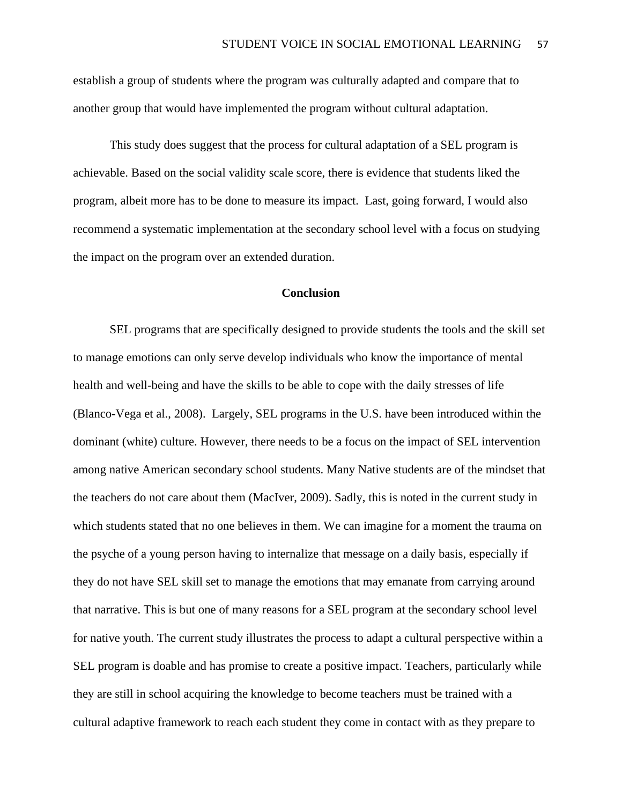establish a group of students where the program was culturally adapted and compare that to another group that would have implemented the program without cultural adaptation.

This study does suggest that the process for cultural adaptation of a SEL program is achievable. Based on the social validity scale score, there is evidence that students liked the program, albeit more has to be done to measure its impact. Last, going forward, I would also recommend a systematic implementation at the secondary school level with a focus on studying the impact on the program over an extended duration.

#### **Conclusion**

SEL programs that are specifically designed to provide students the tools and the skill set to manage emotions can only serve develop individuals who know the importance of mental health and well-being and have the skills to be able to cope with the daily stresses of life (Blanco-Vega et al., 2008). Largely, SEL programs in the U.S. have been introduced within the dominant (white) culture. However, there needs to be a focus on the impact of SEL intervention among native American secondary school students. Many Native students are of the mindset that the teachers do not care about them (MacIver, 2009). Sadly, this is noted in the current study in which students stated that no one believes in them. We can imagine for a moment the trauma on the psyche of a young person having to internalize that message on a daily basis, especially if they do not have SEL skill set to manage the emotions that may emanate from carrying around that narrative. This is but one of many reasons for a SEL program at the secondary school level for native youth. The current study illustrates the process to adapt a cultural perspective within a SEL program is doable and has promise to create a positive impact. Teachers, particularly while they are still in school acquiring the knowledge to become teachers must be trained with a cultural adaptive framework to reach each student they come in contact with as they prepare to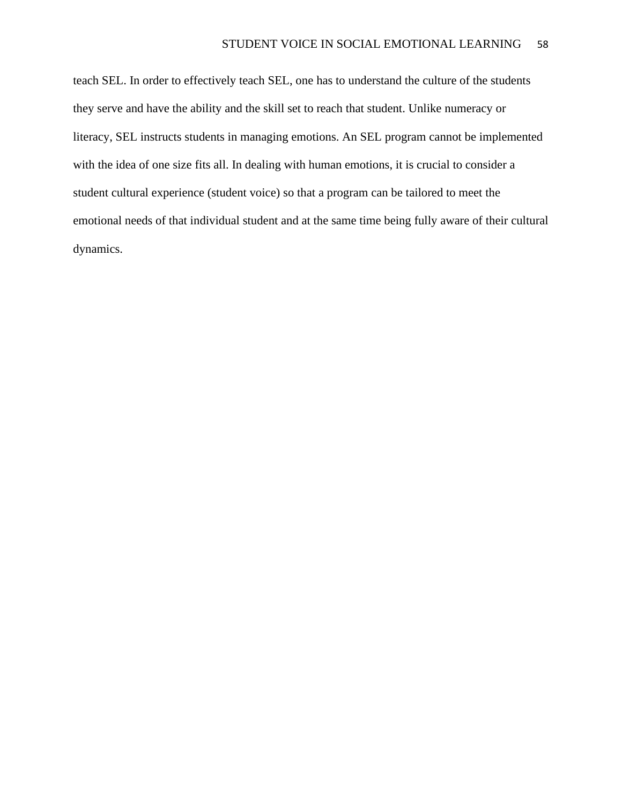teach SEL. In order to effectively teach SEL, one has to understand the culture of the students they serve and have the ability and the skill set to reach that student. Unlike numeracy or literacy, SEL instructs students in managing emotions. An SEL program cannot be implemented with the idea of one size fits all. In dealing with human emotions, it is crucial to consider a student cultural experience (student voice) so that a program can be tailored to meet the emotional needs of that individual student and at the same time being fully aware of their cultural dynamics.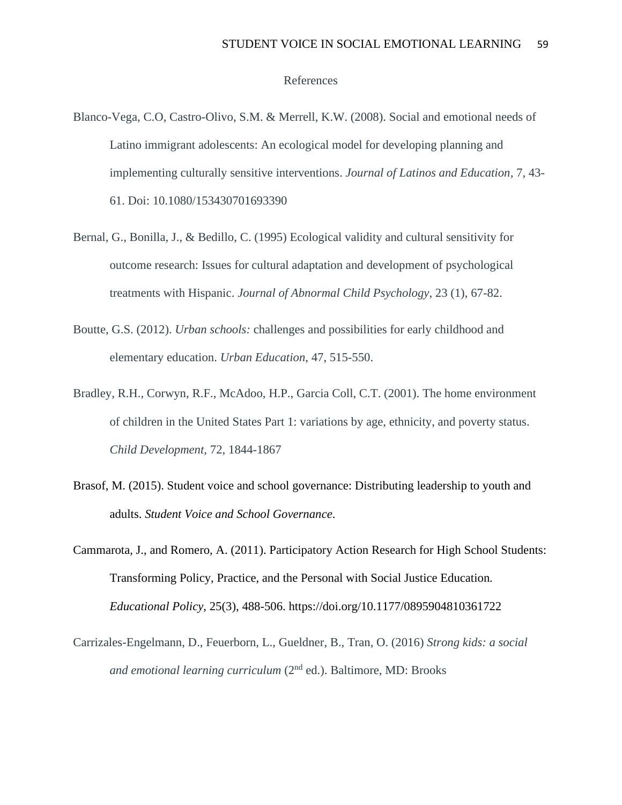#### References

- Blanco-Vega, C.O, Castro-Olivo, S.M. & Merrell, K.W. (2008). Social and emotional needs of Latino immigrant adolescents: An ecological model for developing planning and implementing culturally sensitive interventions. *Journal of Latinos and Education,* 7, 43- 61. Doi: 10.1080/153430701693390
- Bernal, G., Bonilla, J., & Bedillo, C. (1995) Ecological validity and cultural sensitivity for outcome research: Issues for cultural adaptation and development of psychological treatments with Hispanic. *Journal of Abnormal Child Psychology*, 23 (1), 67-82.
- Boutte, G.S. (2012). *Urban schools:* challenges and possibilities for early childhood and elementary education. *Urban Education*, 47, 515-550.
- Bradley, R.H., Corwyn, R.F., McAdoo, H.P., Garcia Coll, C.T. (2001). The home environment of children in the United States Part 1: variations by age, ethnicity, and poverty status. *Child Development,* 72, 1844-1867
- Brasof, M. (2015). Student voice and school governance: Distributing leadership to youth and adults. *Student Voice and School Governance*.
- Cammarota, J., and Romero, A. (2011). Participatory Action Research for High School Students: Transforming Policy, Practice, and the Personal with Social Justice Education*. Educational Policy*, 25(3), 488-506. https://doi.org/10.1177/0895904810361722
- Carrizales-Engelmann, D., Feuerborn, L., Gueldner, B., Tran, O. (2016) *Strong kids: a social and emotional learning curriculum* (2<sup>nd</sup> ed.). Baltimore, MD: Brooks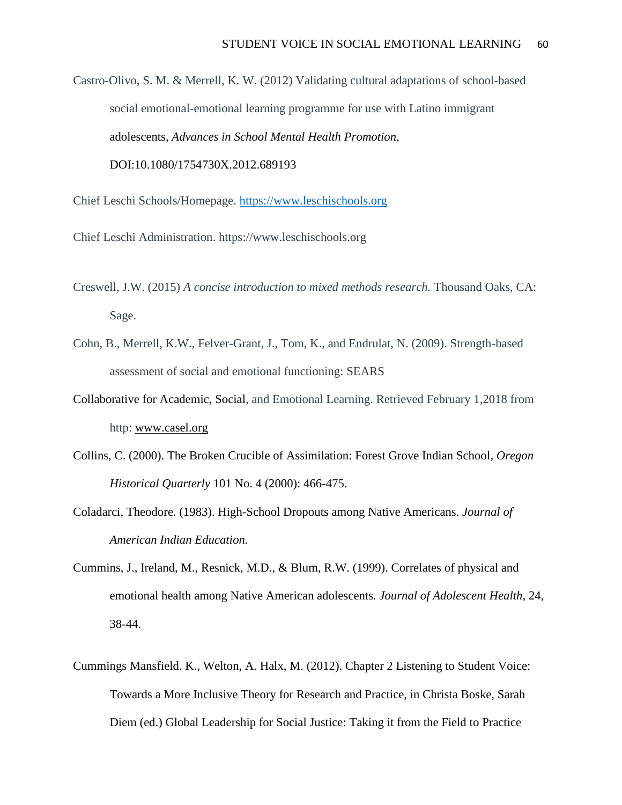Castro-Olivo, S. M. & Merrell, K. W. (2012) Validating cultural adaptations of school-based social emotional-emotional learning programme for use with Latino immigrant adolescents*, Advances in School Mental Health Promotion,* DOI:10.1080/1754730X.2012.689193

Chief Leschi Schools/Homepage. [https://www.leschischools.org](https://www.leschischools.org/)

- Chief Leschi Administration. https://www.leschischools.org
- Creswell, J.W. (2015) *A concise introduction to mixed methods research.* Thousand Oaks, CA: Sage.
- Cohn, B., Merrell, K.W., Felver-Grant, J., Tom, K., and Endrulat, N. (2009). Strength-based assessment of social and emotional functioning: SEARS
- Collaborative for Academic, Social, and Emotional Learning. Retrieved February 1,2018 from http: [www.casel.org](http://www.casel.org/)
- Collins, C. (2000). The Broken Crucible of Assimilation: Forest Grove Indian School, *Oregon Historical Quarterly* 101 No. 4 (2000): 466-475.
- Coladarci, Theodore. (1983). High-School Dropouts among Native Americans. *Journal of American Indian Education.*
- Cummins, J., Ireland, M., Resnick, M.D., & Blum, R.W. (1999). Correlates of physical and emotional health among Native American adolescents*. Journal of Adolescent Health*, 24, 38-44.
- Cummings Mansfield. K., Welton, A. Halx, M. (2012). Chapter 2 Listening to Student Voice: Towards a More Inclusive Theory for Research and Practice, in Christa Boske, Sarah Diem (ed.) Global Leadership for Social Justice: Taking it from the Field to Practice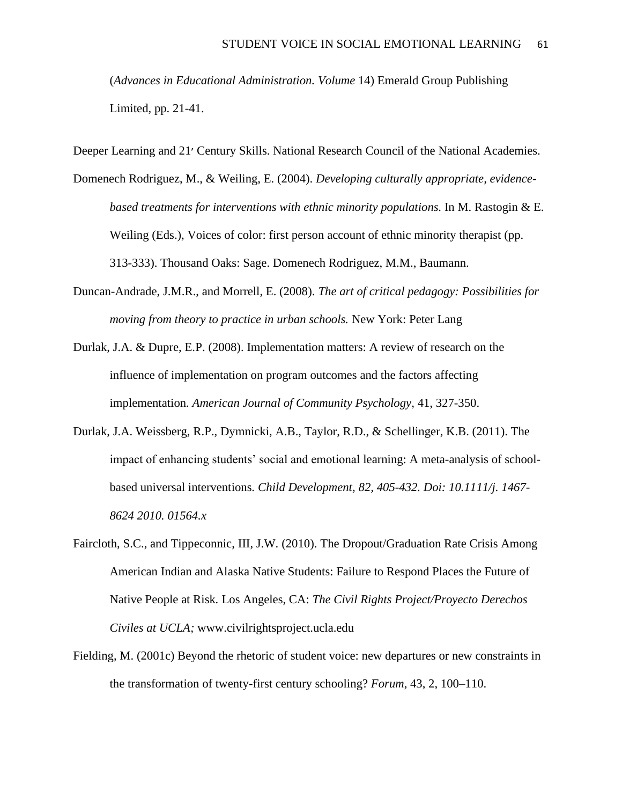(*Advances in Educational Administration. Volume* 14) Emerald Group Publishing Limited, pp. 21-41.

Deeper Learning and 21׳ Century Skills. National Research Council of the National Academies.

- Domenech Rodriguez, M., & Weiling, E. (2004). *Developing culturally appropriate, evidencebased treatments for interventions with ethnic minority populations.* In M. Rastogin & E. Weiling (Eds.), Voices of color: first person account of ethnic minority therapist (pp. 313-333). Thousand Oaks: Sage. Domenech Rodriguez, M.M., Baumann.
- Duncan-Andrade, J.M.R., and Morrell, E. (2008). *The art of critical pedagogy: Possibilities for moving from theory to practice in urban schools.* New York: Peter Lang
- Durlak, J.A. & Dupre, E.P. (2008). Implementation matters: A review of research on the influence of implementation on program outcomes and the factors affecting implementation*. American Journal of Community Psychology,* 41, 327-350.
- Durlak, J.A. Weissberg, R.P., Dymnicki, A.B., Taylor, R.D., & Schellinger, K.B. (2011). The impact of enhancing students' social and emotional learning: A meta-analysis of schoolbased universal interventions*. Child Development, 82, 405-432. Doi: 10.1111/j. 1467- 8624 2010. 01564.x*
- Faircloth, S.C., and Tippeconnic, III, J.W. (2010). The Dropout/Graduation Rate Crisis Among American Indian and Alaska Native Students: Failure to Respond Places the Future of Native People at Risk*.* Los Angeles, CA: *The Civil Rights Project/Proyecto Derechos Civiles at UCLA;* www.civilrightsproject.ucla.edu
- Fielding, M. (2001c) Beyond the rhetoric of student voice: new departures or new constraints in the transformation of twenty-first century schooling? *Forum*, 43, 2, 100–110.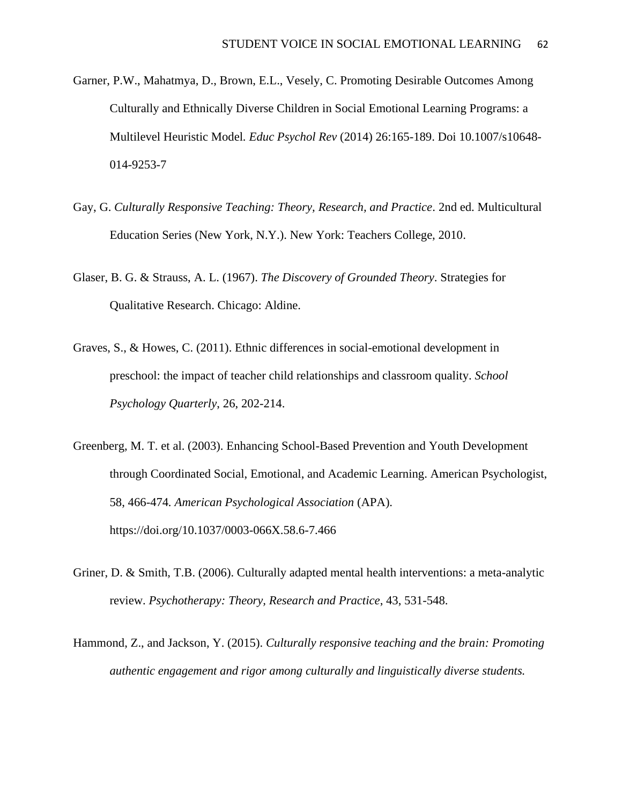- Garner, P.W., Mahatmya, D., Brown, E.L., Vesely, C. Promoting Desirable Outcomes Among Culturally and Ethnically Diverse Children in Social Emotional Learning Programs: a Multilevel Heuristic Model*. Educ Psychol Rev* (2014) 26:165-189. Doi 10.1007/s10648- 014-9253-7
- Gay, G. *Culturally Responsive Teaching: Theory, Research, and Practice*. 2nd ed. Multicultural Education Series (New York, N.Y.). New York: Teachers College, 2010.
- Glaser, B. G. & Strauss, A. L. (1967). *The Discovery of Grounded Theory*. Strategies for Qualitative Research. Chicago: Aldine.
- Graves, S., & Howes, C. (2011). Ethnic differences in social-emotional development in preschool: the impact of teacher child relationships and classroom quality. *School Psychology Quarterly*, 26, 202-214.
- Greenberg, M. T. et al. (2003). Enhancing School-Based Prevention and Youth Development through Coordinated Social, Emotional, and Academic Learning. American Psychologist, 58, 466-474*. American Psychological Association* (APA). https://doi.org/10.1037/0003-066X.58.6-7.466
- Griner, D. & Smith, T.B. (2006). Culturally adapted mental health interventions: a meta-analytic review. *Psychotherapy: Theory, Research and Practice*, 43, 531-548.
- Hammond, Z., and Jackson, Y. (2015). *Culturally responsive teaching and the brain: Promoting authentic engagement and rigor among culturally and linguistically diverse students.*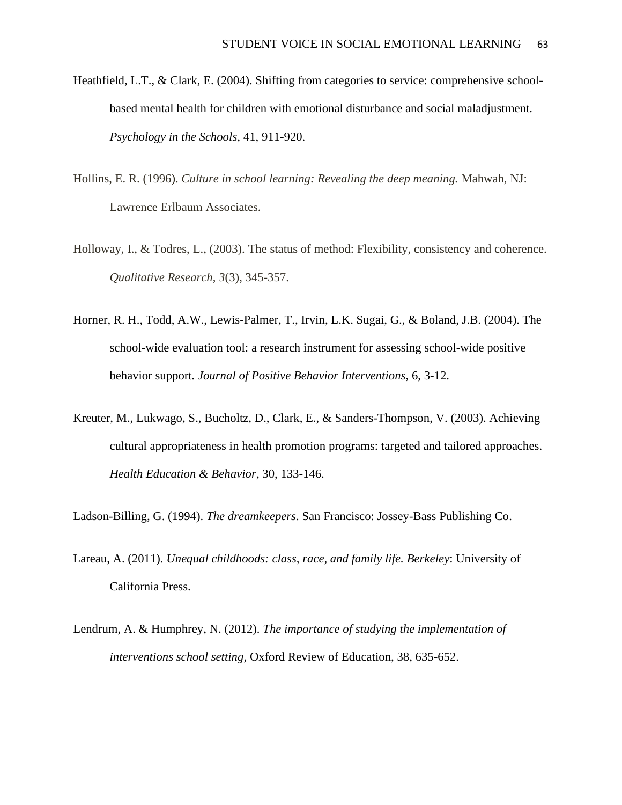- Heathfield, L.T., & Clark, E. (2004). Shifting from categories to service: comprehensive schoolbased mental health for children with emotional disturbance and social maladjustment. *Psychology in the Schools,* 41, 911-920.
- Hollins, E. R. (1996). *Culture in school learning: Revealing the deep meaning.* Mahwah, NJ: Lawrence Erlbaum Associates.
- Holloway, I., & Todres, L., (2003). The status of method: Flexibility, consistency and coherence. *Qualitative Research, 3*(3), 345-357.
- Horner, R. H., Todd, A.W., Lewis-Palmer, T., Irvin, L.K. Sugai, G., & Boland, J.B. (2004). The school-wide evaluation tool: a research instrument for assessing school-wide positive behavior support*. Journal of Positive Behavior Interventions*, 6, 3-12.
- Kreuter, M., Lukwago, S., Bucholtz, D., Clark, E., & Sanders-Thompson, V. (2003). Achieving cultural appropriateness in health promotion programs: targeted and tailored approaches. *Health Education & Behavior*, 30, 133-146.

Ladson-Billing, G. (1994). *The dreamkeepers*. San Francisco: Jossey-Bass Publishing Co.

- Lareau, A. (2011). *Unequal childhoods: class, race, and family life. Berkeley*: University of California Press.
- Lendrum, A. & Humphrey, N. (2012). *The importance of studying the implementation of interventions school setting,* Oxford Review of Education, 38, 635-652.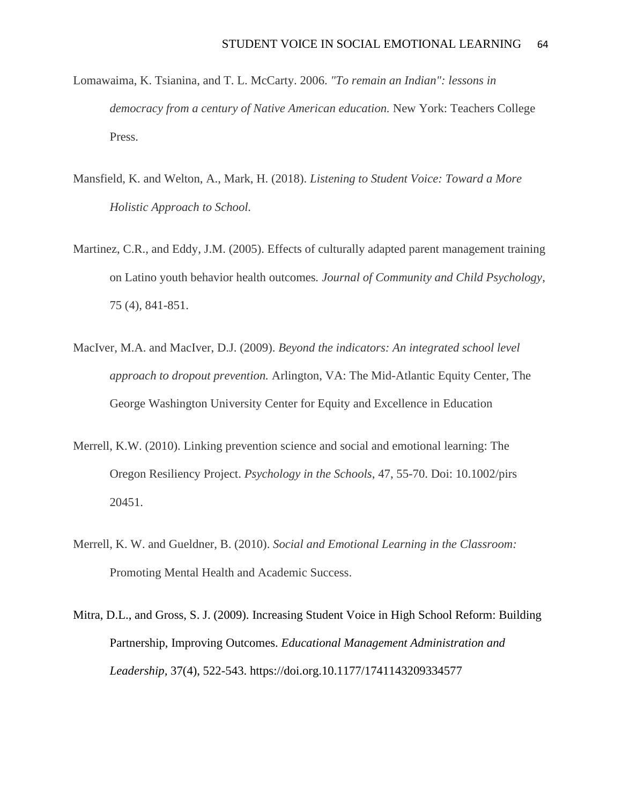- Lomawaima, K. Tsianina, and T. L. McCarty. 2006. *"To remain an Indian": lessons in democracy from a century of Native American education.* New York: Teachers College Press.
- Mansfield, K. and Welton, A., Mark, H. (2018). *Listening to Student Voice: Toward a More Holistic Approach to School.*
- Martinez, C.R., and Eddy, J.M. (2005). Effects of culturally adapted parent management training on Latino youth behavior health outcomes*. Journal of Community and Child Psychology*, 75 (4), 841-851.
- MacIver, M.A. and MacIver, D.J. (2009). *Beyond the indicators: An integrated school level approach to dropout prevention.* Arlington, VA: The Mid-Atlantic Equity Center, The George Washington University Center for Equity and Excellence in Education
- Merrell, K.W. (2010). Linking prevention science and social and emotional learning: The Oregon Resiliency Project. *Psychology in the Schools*, 47, 55-70. Doi: 10.1002/pirs 20451.
- Merrell, K. W. and Gueldner, B. (2010). *Social and Emotional Learning in the Classroom:* Promoting Mental Health and Academic Success.
- Mitra, D.L., and Gross, S. J. (2009). Increasing Student Voice in High School Reform: Building Partnership, Improving Outcomes. *Educational Management Administration and Leadership,* 37(4), 522-543. https://doi.org.10.1177/1741143209334577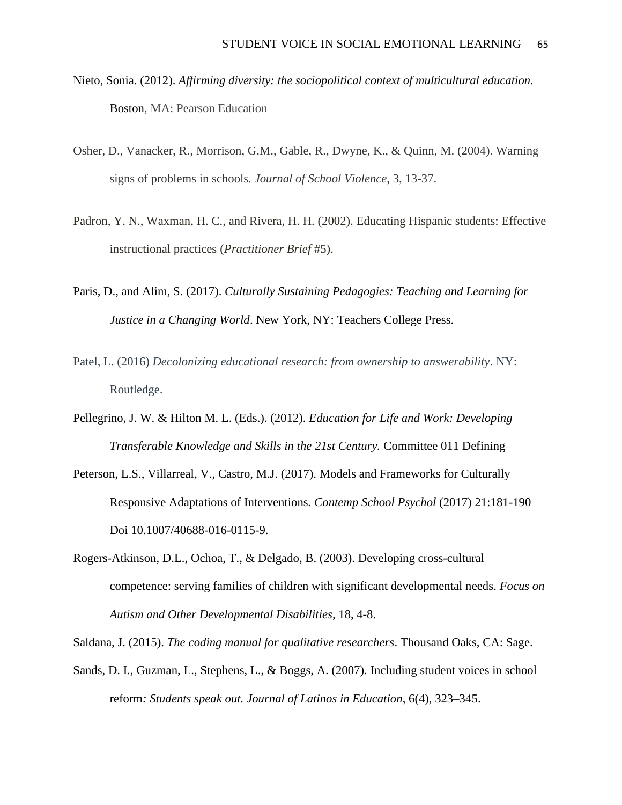- Nieto, Sonia. (2012). *Affirming diversity: the sociopolitical context of multicultural education.* Boston, MA: Pearson Education
- Osher, D., Vanacker, R., Morrison, G.M., Gable, R., Dwyne, K., & Quinn, M. (2004). Warning signs of problems in schools*. Journal of School Violence*, 3, 13-37.
- Padron, Y. N., Waxman, H. C., and Rivera, H. H. (2002). Educating Hispanic students: Effective instructional practices (*Practitioner Brief* #5).
- Paris, D., and Alim, S. (2017). *Culturally Sustaining Pedagogies: Teaching and Learning for Justice in a Changing World*. New York, NY: Teachers College Press.
- Patel, L. (2016) *Decolonizing educational research: from ownership to answerability*. NY: Routledge.
- Pellegrino, J. W. & Hilton M. L. (Eds.). (2012). *Education for Life and Work: Developing Transferable Knowledge and Skills in the 21st Century.* Committee 011 Defining
- Peterson, L.S., Villarreal, V., Castro, M.J. (2017). Models and Frameworks for Culturally Responsive Adaptations of Interventions*. Contemp School Psychol* (2017) 21:181-190 Doi 10.1007/40688-016-0115-9.
- Rogers-Atkinson, D.L., Ochoa, T., & Delgado, B. (2003). Developing cross-cultural competence: serving families of children with significant developmental needs. *Focus on Autism and Other Developmental Disabilities,* 18, 4-8.

Saldana, J. (2015). *The coding manual for qualitative researchers*. Thousand Oaks, CA: Sage.

Sands, D. I., Guzman, L., Stephens, L., & Boggs, A. (2007). Including student voices in school reform*: Students speak out. Journal of Latinos in Education*, 6(4), 323–345.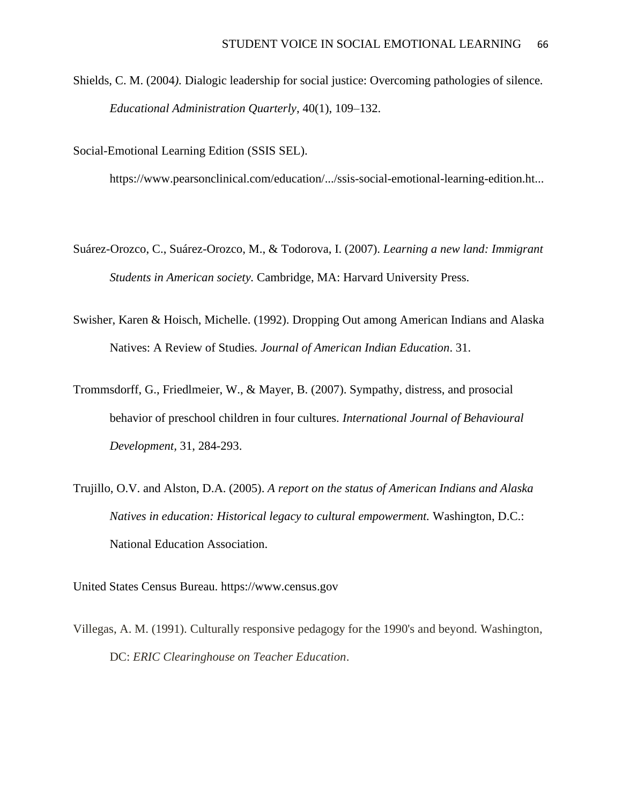Shields, C. M. (2004*).* Dialogic leadership for social justice: Overcoming pathologies of silence*. Educational Administration Quarterly*, 40(1), 109–132.

Social-Emotional Learning Edition (SSIS SEL).

https://www.pearsonclinical.com/education/.../ssis-social-emotional-learning-edition.ht...

- Suárez-Orozco, C., Suárez-Orozco, M., & Todorova, I. (2007). *Learning a new land: Immigrant Students in American society.* Cambridge, MA: Harvard University Press.
- Swisher, Karen & Hoisch, Michelle. (1992). Dropping Out among American Indians and Alaska Natives: A Review of Studies*. Journal of American Indian Education*. 31.
- Trommsdorff, G., Friedlmeier, W., & Mayer, B. (2007). Sympathy, distress, and prosocial behavior of preschool children in four cultures. *International Journal of Behavioural Development,* 31, 284-293.
- Trujillo, O.V. and Alston, D.A. (2005). *A report on the status of American Indians and Alaska Natives in education: Historical legacy to cultural empowerment.* Washington, D.C.: National Education Association.

United States Census Bureau. https://www.census.gov

Villegas, A. M. (1991). Culturally responsive pedagogy for the 1990's and beyond*.* Washington, DC: *ERIC Clearinghouse on Teacher Education*.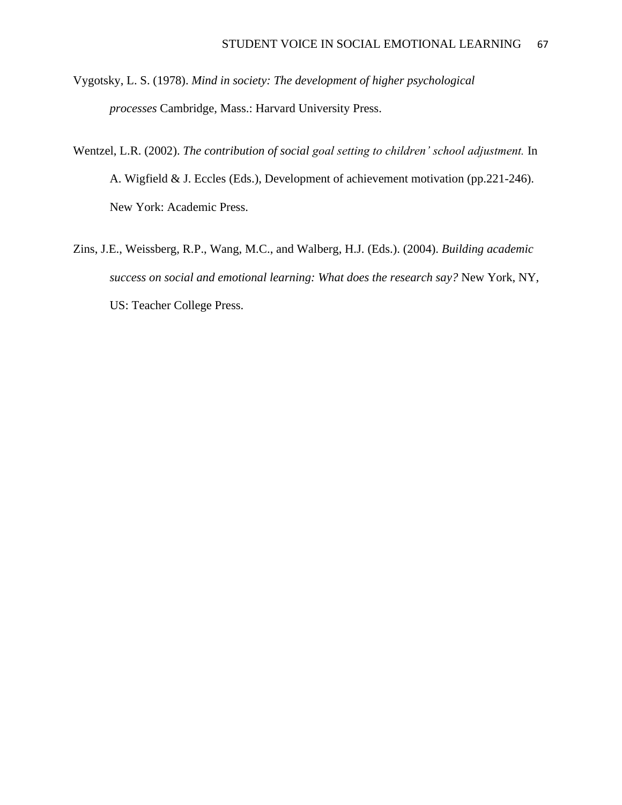Vygotsky, L. S. (1978). *Mind in society: The development of higher psychological processes* Cambridge, Mass.: Harvard University Press.

- Wentzel, L.R. (2002). *The contribution of social goal setting to children' school adjustment.* In A. Wigfield & J. Eccles (Eds.), Development of achievement motivation (pp.221-246). New York: Academic Press.
- Zins, J.E., Weissberg, R.P., Wang, M.C., and Walberg, H.J. (Eds.). (2004). *Building academic success on social and emotional learning: What does the research say?* New York, NY, US: Teacher College Press.